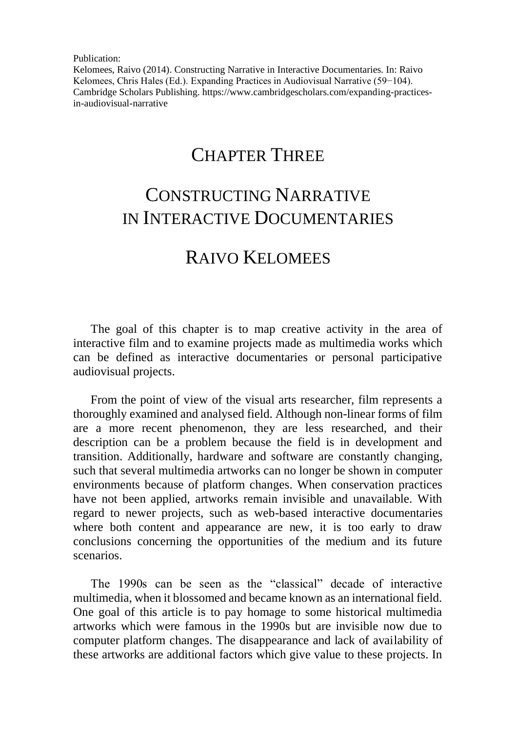Publication:

Kelomees, Raivo (2014). Constructing Narrative in Interactive Documentaries. In: Raivo Kelomees, Chris Hales (Ed.). Expanding Practices in Audiovisual Narrative (59−104). Cambridge Scholars Publishing. https://www.cambridgescholars.com/expanding-practicesin-audiovisual-narrative

## CHAPTER THREE

# CONSTRUCTING NARRATIVE IN INTERACTIVE DOCUMENTARIES

## RAIVO KELOMEES

The goal of this chapter is to map creative activity in the area of interactive film and to examine projects made as multimedia works which can be defined as interactive documentaries or personal participative audiovisual projects.

From the point of view of the visual arts researcher, film represents a thoroughly examined and analysed field. Although non-linear forms of film are a more recent phenomenon, they are less researched, and their description can be a problem because the field is in development and transition. Additionally, hardware and software are constantly changing, such that several multimedia artworks can no longer be shown in computer environments because of platform changes. When conservation practices have not been applied, artworks remain invisible and unavailable. With regard to newer projects, such as web-based interactive documentaries where both content and appearance are new, it is too early to draw conclusions concerning the opportunities of the medium and its future scenarios.

The 1990s can be seen as the "classical" decade of interactive multimedia, when it blossomed and became known as an international field. One goal of this article is to pay homage to some historical multimedia artworks which were famous in the 1990s but are invisible now due to computer platform changes. The disappearance and lack of availability of these artworks are additional factors which give value to these projects. In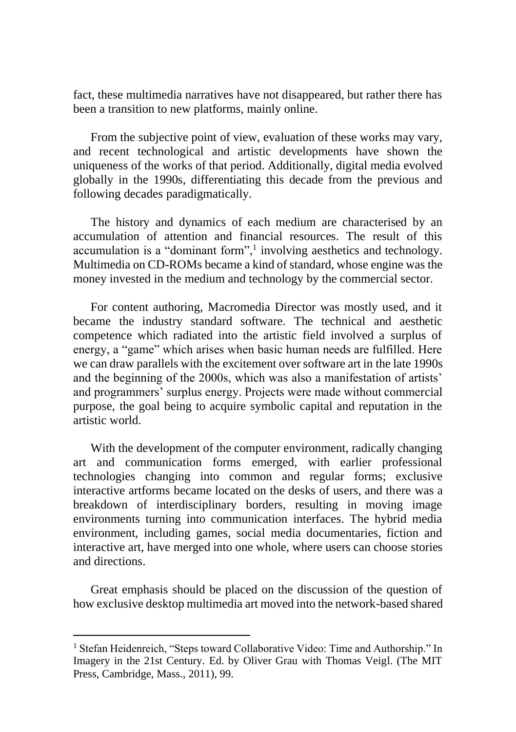fact, these multimedia narratives have not disappeared, but rather there has been a transition to new platforms, mainly online.

From the subjective point of view, evaluation of these works may vary, and recent technological and artistic developments have shown the uniqueness of the works of that period. Additionally, digital media evolved globally in the 1990s, differentiating this decade from the previous and following decades paradigmatically.

The history and dynamics of each medium are characterised by an accumulation of attention and financial resources. The result of this accumulation is a "dominant form",<sup>1</sup> involving aesthetics and technology. Multimedia on CD-ROMs became a kind of standard, whose engine was the money invested in the medium and technology by the commercial sector.

For content authoring, Macromedia Director was mostly used, and it became the industry standard software. The technical and aesthetic competence which radiated into the artistic field involved a surplus of energy, a "game" which arises when basic human needs are fulfilled. Here we can draw parallels with the excitement over software art in the late 1990s and the beginning of the 2000s, which was also a manifestation of artists' and programmers' surplus energy. Projects were made without commercial purpose, the goal being to acquire symbolic capital and reputation in the artistic world.

With the development of the computer environment, radically changing art and communication forms emerged, with earlier professional technologies changing into common and regular forms; exclusive interactive artforms became located on the desks of users, and there was a breakdown of interdisciplinary borders, resulting in moving image environments turning into communication interfaces. The hybrid media environment, including games, social media documentaries, fiction and interactive art, have merged into one whole, where users can choose stories and directions.

Great emphasis should be placed on the discussion of the question of how exclusive desktop multimedia art moved into the network-based shared

<sup>&</sup>lt;sup>1</sup> Stefan Heidenreich. "Steps toward Collaborative Video: Time and Authorship." In Imagery in the 21st Century. Ed. by Oliver Grau with Thomas Veigl. (The MIT Press, Cambridge, Mass., 2011), 99.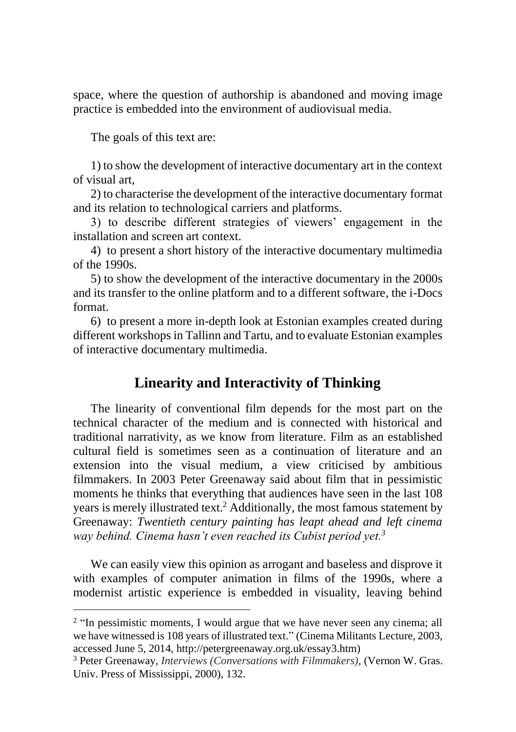space, where the question of authorship is abandoned and moving image practice is embedded into the environment of audiovisual media.

The goals of this text are:

1) to show the development of interactive documentary art in the context of visual art,

2) to characterise the development of the interactive documentary format and its relation to technological carriers and platforms.

3) to describe different strategies of viewers' engagement in the installation and screen art context.

4) to present a short history of the interactive documentary multimedia of the 1990s.

5) to show the development of the interactive documentary in the 2000s and its transfer to the online platform and to a different software, the i-Docs format.

6) to present a more in-depth look at Estonian examples created during different workshops in Tallinn and Tartu, and to evaluate Estonian examples of interactive documentary multimedia.

### **Linearity and Interactivity of Thinking**

The linearity of conventional film depends for the most part on the technical character of the medium and is connected with historical and traditional narrativity, as we know from literature. Film as an established cultural field is sometimes seen as a continuation of literature and an extension into the visual medium, a view criticised by ambitious filmmakers. In 2003 Peter Greenaway said about film that in pessimistic moments he thinks that everything that audiences have seen in the last 108 years is merely illustrated text.<sup>2</sup> Additionally, the most famous statement by Greenaway: *Twentieth century painting has leapt ahead and left cinema way behind. Cinema hasn't even reached its Cubist period yet.<sup>3</sup>*

We can easily view this opinion as arrogant and baseless and disprove it with examples of computer animation in films of the 1990s, where a modernist artistic experience is embedded in visuality, leaving behind

<sup>&</sup>lt;sup>2</sup> "In pessimistic moments, I would argue that we have never seen any cinema; all we have witnessed is 108 years of illustrated text." (Cinema Militants Lecture, 2003, accessed June 5, 2014, http://petergreenaway.org.uk/essay3.htm)

<sup>3</sup> Peter Greenaway, *Interviews (Conversations with Filmmakers),* (Vernon W. Gras. Univ. Press of Mississippi, 2000), 132.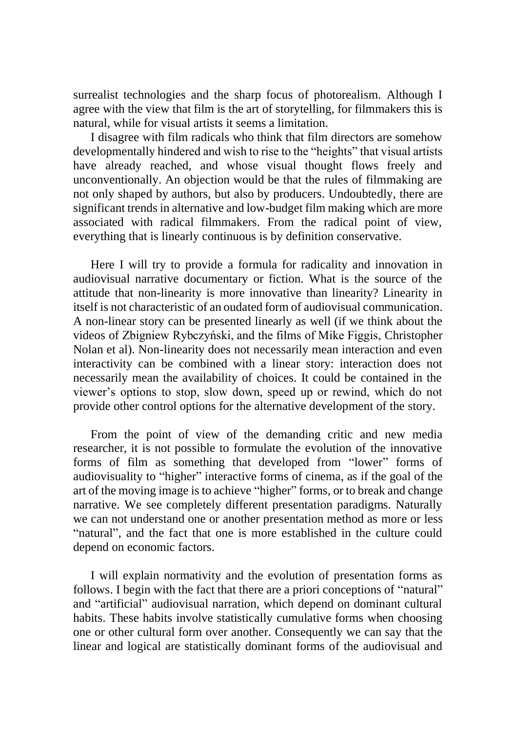surrealist technologies and the sharp focus of photorealism. Although I agree with the view that film is the art of storytelling, for filmmakers this is natural, while for visual artists it seems a limitation.

I disagree with film radicals who think that film directors are somehow developmentally hindered and wish to rise to the "heights" that visual artists have already reached, and whose visual thought flows freely and unconventionally. An objection would be that the rules of filmmaking are not only shaped by authors, but also by producers. Undoubtedly, there are significant trends in alternative and low-budget film making which are more associated with radical filmmakers. From the radical point of view, everything that is linearly continuous is by definition conservative.

Here I will try to provide a formula for radicality and innovation in audiovisual narrative documentary or fiction. What is the source of the attitude that non-linearity is more innovative than linearity? Linearity in itself is not characteristic of an oudated form of audiovisual communication. A non-linear story can be presented linearly as well (if we think about the videos of Zbigniew Rybczyński, and the films of Mike Figgis, Christopher Nolan et al). Non-linearity does not necessarily mean interaction and even interactivity can be combined with a linear story: interaction does not necessarily mean the availability of choices. It could be contained in the viewer's options to stop, slow down, speed up or rewind, which do not provide other control options for the alternative development of the story.

From the point of view of the demanding critic and new media researcher, it is not possible to formulate the evolution of the innovative forms of film as something that developed from "lower" forms of audiovisuality to "higher" interactive forms of cinema, as if the goal of the art of the moving image is to achieve "higher" forms, or to break and change narrative. We see completely different presentation paradigms. Naturally we can not understand one or another presentation method as more or less "natural", and the fact that one is more established in the culture could depend on economic factors.

I will explain normativity and the evolution of presentation forms as follows. I begin with the fact that there are a priori conceptions of "natural" and "artificial" audiovisual narration, which depend on dominant cultural habits. These habits involve statistically cumulative forms when choosing one or other cultural form over another. Consequently we can say that the linear and logical are statistically dominant forms of the audiovisual and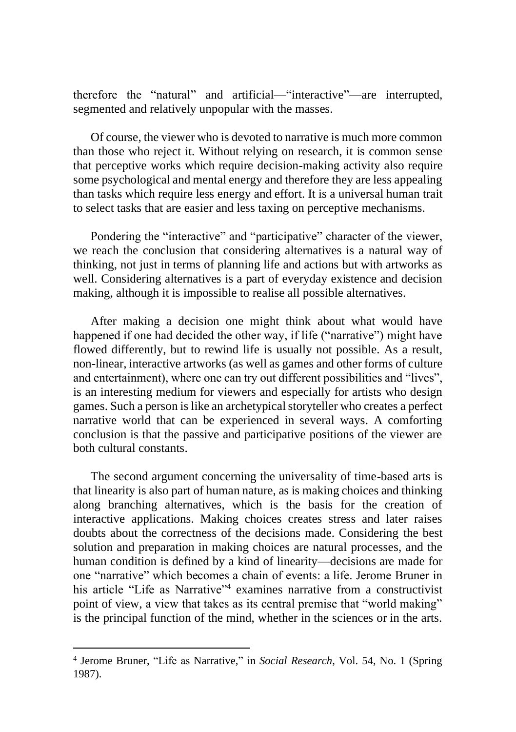therefore the "natural" and artificial—"interactive"—are interrupted, segmented and relatively unpopular with the masses.

Of course, the viewer who is devoted to narrative is much more common than those who reject it. Without relying on research, it is common sense that perceptive works which require decision-making activity also require some psychological and mental energy and therefore they are less appealing than tasks which require less energy and effort. It is a universal human trait to select tasks that are easier and less taxing on perceptive mechanisms.

Pondering the "interactive" and "participative" character of the viewer, we reach the conclusion that considering alternatives is a natural way of thinking, not just in terms of planning life and actions but with artworks as well. Considering alternatives is a part of everyday existence and decision making, although it is impossible to realise all possible alternatives.

After making a decision one might think about what would have happened if one had decided the other way, if life ("narrative") might have flowed differently, but to rewind life is usually not possible. As a result, non-linear, interactive artworks (as well as games and other forms of culture and entertainment), where one can try out different possibilities and "lives", is an interesting medium for viewers and especially for artists who design games. Such a person is like an archetypical storyteller who creates a perfect narrative world that can be experienced in several ways. A comforting conclusion is that the passive and participative positions of the viewer are both cultural constants.

The second argument concerning the universality of time-based arts is that linearity is also part of human nature, as is making choices and thinking along branching alternatives, which is the basis for the creation of interactive applications. Making choices creates stress and later raises doubts about the correctness of the decisions made. Considering the best solution and preparation in making choices are natural processes, and the human condition is defined by a kind of linearity—decisions are made for one "narrative" which becomes a chain of events: a life. Jerome Bruner in his article "Life as Narrative"<sup>4</sup> examines narrative from a constructivist point of view, a view that takes as its central premise that "world making" is the principal function of the mind, whether in the sciences or in the arts.

<sup>4</sup> Jerome Bruner, "Life as Narrative," in *Social Research*, Vol. 54, No. 1 (Spring 1987).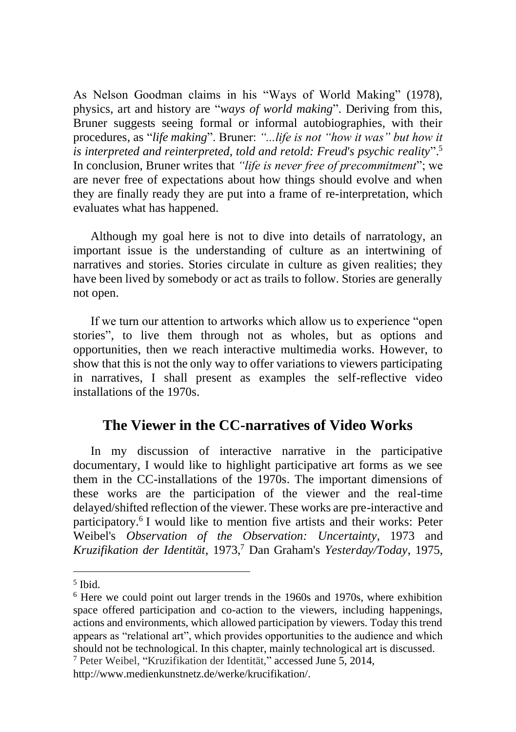As Nelson Goodman claims in his "Ways of World Making" (1978), physics, art and history are "*ways of world making*". Deriving from this, Bruner suggests seeing formal or informal autobiographies, with their procedures, as "*life making*". Bruner: *"...life is not "how it was" but how it is interpreted and reinterpreted, told and retold: Freud's psychic reality*". 5 In conclusion, Bruner writes that *"life is never free of precommitment*"; we are never free of expectations about how things should evolve and when they are finally ready they are put into a frame of re-interpretation, which evaluates what has happened.

Although my goal here is not to dive into details of narratology, an important issue is the understanding of culture as an intertwining of narratives and stories. Stories circulate in culture as given realities; they have been lived by somebody or act as trails to follow. Stories are generally not open.

If we turn our attention to artworks which allow us to experience "open stories", to live them through not as wholes, but as options and opportunities, then we reach interactive multimedia works. However, to show that this is not the only way to offer variations to viewers participating in narratives, I shall present as examples the self-reflective video installations of the 1970s.

#### **The Viewer in the CC-narratives of Video Works**

In my discussion of interactive narrative in the participative documentary, I would like to highlight participative art forms as we see them in the CC-installations of the 1970s. The important dimensions of these works are the participation of the viewer and the real-time delayed/shifted reflection of the viewer. These works are pre-interactive and participatory.<sup>6</sup> I would like to mention five artists and their works: Peter Weibel's *Observation of the Observation: Uncertainty*, 1973 and *Kruzifikation der Identität*, 1973,<sup>7</sup> Dan Graham's *Yesterday/Today*, 1975,

<sup>5</sup> Ibid.

<sup>6</sup> Here we could point out larger trends in the 1960s and 1970s, where exhibition space offered participation and co-action to the viewers, including happenings, actions and environments, which allowed participation by viewers. Today this trend appears as "relational art", which provides opportunities to the audience and which should not be technological. In this chapter, mainly technological art is discussed.

<sup>7</sup> Peter Weibel, "Kruzifikation der Identität," accessed June 5, 2014,

http://www.medienkunstnetz.de/werke/krucifikation/.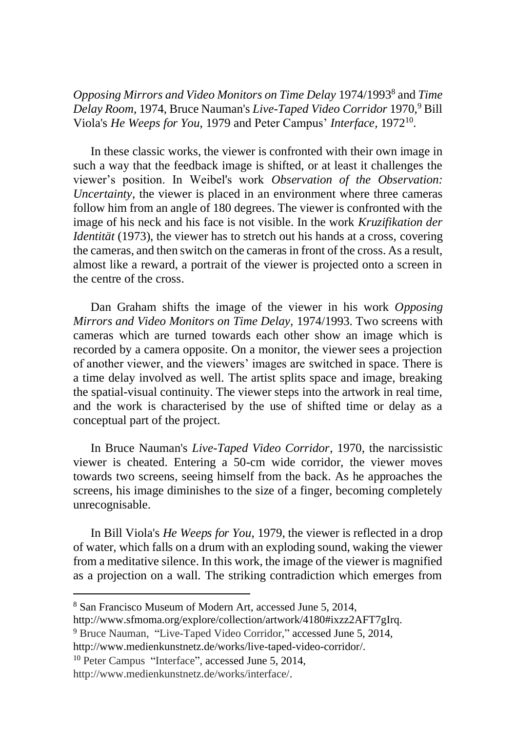*Opposing Mirrors and Video Monitors on Time Delay* 1974/1993<sup>8</sup> and *Time Delay Room*, 1974, Bruce Nauman's *Live-Taped Video Corridor* 1970,<sup>9</sup> Bill Viola's *He Weeps for You*, 1979 and Peter Campus' *Interface,* 1972<sup>10</sup> .

In these classic works, the viewer is confronted with their own image in such a way that the feedback image is shifted, or at least it challenges the viewer's position. In Weibel's work *Observation of the Observation: Uncertainty*, the viewer is placed in an environment where three cameras follow him from an angle of 180 degrees. The viewer is confronted with the image of his neck and his face is not visible. In the work *Kruzifikation der Identität* (1973), the viewer has to stretch out his hands at a cross, covering the cameras, and then switch on the cameras in front of the cross. As a result, almost like a reward, a portrait of the viewer is projected onto a screen in the centre of the cross.

Dan Graham shifts the image of the viewer in his work *Opposing Mirrors and Video Monitors on Time Delay,* 1974/1993. Two screens with cameras which are turned towards each other show an image which is recorded by a camera opposite. On a monitor, the viewer sees a projection of another viewer, and the viewers' images are switched in space. There is a time delay involved as well. The artist splits space and image, breaking the spatial-visual continuity. The viewer steps into the artwork in real time, and the work is characterised by the use of shifted time or delay as a conceptual part of the project.

In Bruce Nauman's *Live-Taped Video Corridor*, 1970, the narcissistic viewer is cheated. Entering a 50-cm wide corridor, the viewer moves towards two screens, seeing himself from the back. As he approaches the screens, his image diminishes to the size of a finger, becoming completely unrecognisable.

In Bill Viola's *He Weeps for You*, 1979, the viewer is reflected in a drop of water, which falls on a drum with an exploding sound, waking the viewer from a meditative silence. In this work, the image of the viewer is magnified as a projection on a wall. The striking contradiction which emerges from

<sup>10</sup> Peter Campus "Interface", accessed June 5, 2014,

<sup>8</sup> San Francisco Museum of Modern Art, accessed June 5, 2014,

http://www.sfmoma.org/explore/collection/artwork/4180#ixzz2AFT7gIrq.

<sup>9</sup> Bruce Nauman, "Live-Taped Video Corridor," accessed June 5, 2014,

http://www.medienkunstnetz.de/works/live-taped-video-corridor/.

http://www.medienkunstnetz.de/works/interface/.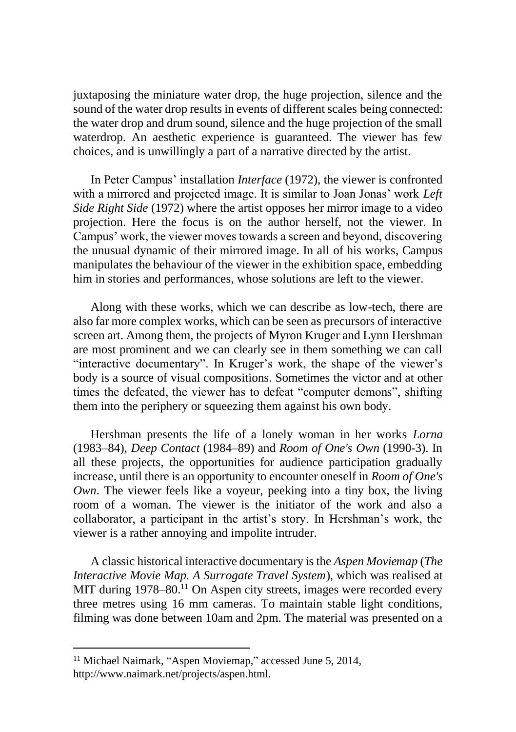juxtaposing the miniature water drop, the huge projection, silence and the sound of the water drop results in events of different scales being connected: the water drop and drum sound, silence and the huge projection of the small waterdrop. An aesthetic experience is guaranteed. The viewer has few choices, and is unwillingly a part of a narrative directed by the artist.

In Peter Campus' installation *Interface* (1972), the viewer is confronted with a mirrored and projected image. It is similar to Joan Jonas' work *Left Side Right Side* (1972) where the artist opposes her mirror image to a video projection. Here the focus is on the author herself, not the viewer. In Campus' work, the viewer moves towards a screen and beyond, discovering the unusual dynamic of their mirrored image. In all of his works, Campus manipulates the behaviour of the viewer in the exhibition space, embedding him in stories and performances, whose solutions are left to the viewer.

Along with these works, which we can describe as low-tech, there are also far more complex works, which can be seen as precursors of interactive screen art. Among them, the projects of Myron Kruger and Lynn Hershman are most prominent and we can clearly see in them something we can call "interactive documentary". In Kruger's work, the shape of the viewer's body is a source of visual compositions. Sometimes the victor and at other times the defeated, the viewer has to defeat "computer demons", shifting them into the periphery or squeezing them against his own body.

Hershman presents the life of a lonely woman in her works *Lorna* (1983–84), *Deep Contact* (1984–89) and *Room of One's Own* (1990-3). In all these projects, the opportunities for audience participation gradually increase, until there is an opportunity to encounter oneself in *Room of One's Own*. The viewer feels like a voyeur, peeking into a tiny box, the living room of a woman. The viewer is the initiator of the work and also a collaborator, a participant in the artist's story. In Hershman's work, the viewer is a rather annoying and impolite intruder.

A classic historical interactive documentary is the *Aspen Moviemap* (*The Interactive Movie Map. A Surrogate Travel System*), which was realised at MIT during 1978–80.<sup>11</sup> On Aspen city streets, images were recorded every three metres using 16 mm cameras. To maintain stable light conditions, filming was done between 10am and 2pm. The material was presented on a

<sup>&</sup>lt;sup>11</sup> Michael Naimark, "Aspen Moviemap," accessed June 5, 2014, http://www.naimark.net/projects/aspen.html.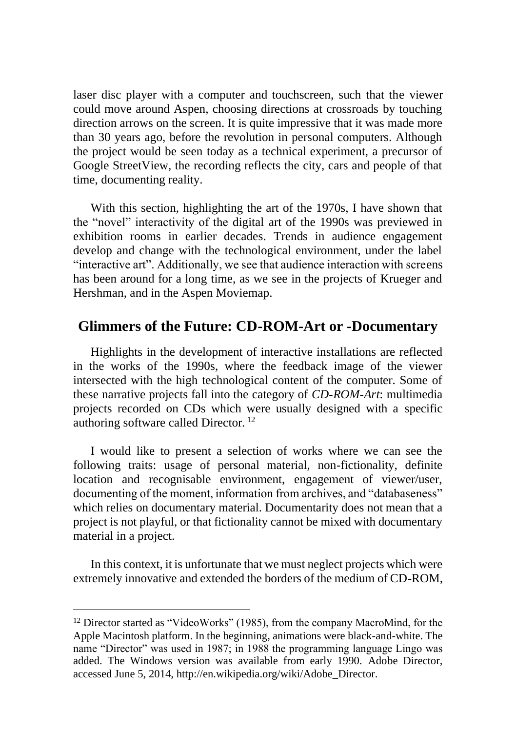laser disc player with a computer and touchscreen, such that the viewer could move around Aspen, choosing directions at crossroads by touching direction arrows on the screen. It is quite impressive that it was made more than 30 years ago, before the revolution in personal computers. Although the project would be seen today as a technical experiment, a precursor of Google StreetView, the recording reflects the city, cars and people of that time, documenting reality.

With this section, highlighting the art of the 1970s, I have shown that the "novel" interactivity of the digital art of the 1990s was previewed in exhibition rooms in earlier decades. Trends in audience engagement develop and change with the technological environment, under the label "interactive art". Additionally, we see that audience interaction with screens has been around for a long time, as we see in the projects of Krueger and Hershman, and in the Aspen Moviemap.

#### **Glimmers of the Future: CD-ROM-Art or -Documentary**

Highlights in the development of interactive installations are reflected in the works of the 1990s, where the feedback image of the viewer intersected with the high technological content of the computer. Some of these narrative projects fall into the category of *CD-ROM-Art*: multimedia projects recorded on CDs which were usually designed with a specific authoring software called Director. <sup>12</sup>

I would like to present a selection of works where we can see the following traits: usage of personal material, non-fictionality, definite location and recognisable environment, engagement of viewer/user, documenting of the moment, information from archives, and "databaseness" which relies on documentary material. Documentarity does not mean that a project is not playful, or that fictionality cannot be mixed with documentary material in a project.

In this context, it is unfortunate that we must neglect projects which were extremely innovative and extended the borders of the medium of CD-ROM,

<sup>12</sup> Director started as "VideoWorks" (1985), from the company MacroMind, for the Apple Macintosh platform. In the beginning, animations were black-and-white. The name "Director" was used in 1987; in 1988 the programming language Lingo was added. The Windows version was available from early 1990. Adobe Director, accessed June 5, 2014, http://en.wikipedia.org/wiki/Adobe\_Director.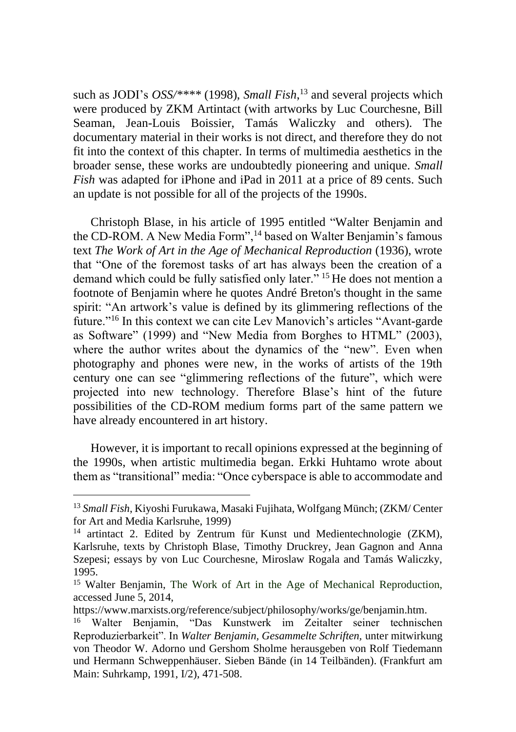such as JODI's *OSS/\*\*\*\** (1998), *Small Fish*, <sup>13</sup> and several projects which were produced by ZKM Artintact (with artworks by Luc Courchesne, Bill Seaman, Jean-Louis Boissier, Tamás Waliczky and others). The documentary material in their works is not direct, and therefore they do not fit into the context of this chapter. In terms of multimedia aesthetics in the broader sense, these works are undoubtedly pioneering and unique. *Small Fish* was adapted for iPhone and iPad in 2011 at a price of 89 cents. Such an update is not possible for all of the projects of the 1990s.

Christoph Blase, in his article of 1995 entitled "Walter Benjamin and the CD-ROM. A New Media Form",<sup>14</sup> based on Walter Benjamin's famous text *The Work of Art in the Age of Mechanical Reproduction* (1936), wrote that "One of the foremost tasks of art has always been the creation of a demand which could be fully satisfied only later." <sup>15</sup> He does not mention a footnote of Benjamin where he quotes André Breton's thought in the same spirit: "An artwork's value is defined by its glimmering reflections of the future."<sup>16</sup> In this context we can cite Lev Manovich's articles "Avant-garde as Software" (1999) and "New Media from Borghes to HTML" (2003), where the author writes about the dynamics of the "new". Even when photography and phones were new, in the works of artists of the 19th century one can see "glimmering reflections of the future", which were projected into new technology. Therefore Blase's hint of the future possibilities of the CD-ROM medium forms part of the same pattern we have already encountered in art history.

However, it is important to recall opinions expressed at the beginning of the 1990s, when artistic multimedia began. Erkki Huhtamo wrote about them as "transitional" media: "Once cyberspace is able to accommodate and

<sup>13</sup> *Small Fish*, Kiyoshi Furukawa, Masaki Fujihata, Wolfgang Münch; (ZKM/ Center for Art and Media Karlsruhe, 1999)

<sup>14</sup> artintact 2. Edited by Zentrum für Kunst und Medientechnologie (ZKM), Karlsruhe, texts by Christoph Blase, Timothy Druckrey, Jean Gagnon and Anna Szepesi; essays by von Luc Courchesne, Miroslaw Rogala and Tamás Waliczky, 1995.

<sup>15</sup> Walter Benjamin, The Work of Art in the Age of Mechanical Reproduction, accessed June 5, 2014,

https://www.marxists.org/reference/subject/philosophy/works/ge/benjamin.htm.

<sup>16</sup> Walter Benjamin, "Das Kunstwerk im Zeitalter seiner technischen Reproduzierbarkeit". In *Walter Benjamin, Gesammelte Schriften,* unter mitwirkung von Theodor W. Adorno und Gershom Sholme herausgeben von Rolf Tiedemann und Hermann Schweppenhäuser. Sieben Bände (in 14 Teilbänden). (Frankfurt am Main: Suhrkamp, 1991, I/2), 471-508.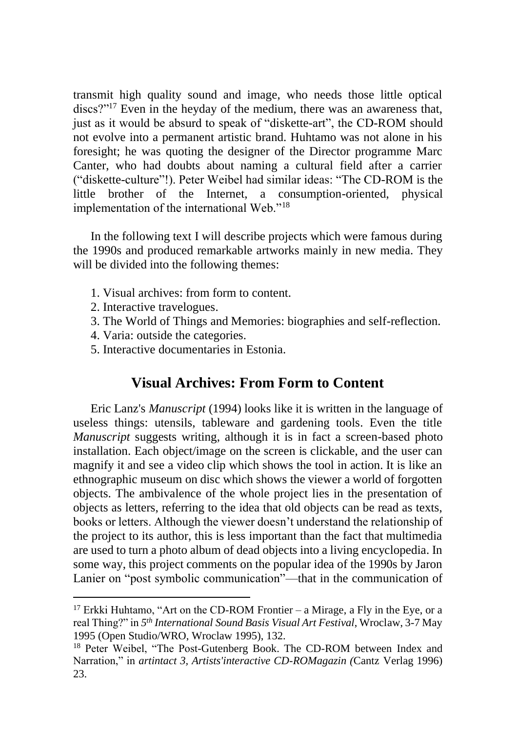transmit high quality sound and image, who needs those little optical discs?"<sup>17</sup> Even in the heyday of the medium, there was an awareness that, just as it would be absurd to speak of "diskette-art", the CD-ROM should not evolve into a permanent artistic brand. Huhtamo was not alone in his foresight; he was quoting the designer of the Director programme Marc Canter, who had doubts about naming a cultural field after a carrier ("diskette-culture"!). Peter Weibel had similar ideas: "The CD-ROM is the little brother of the Internet, a consumption-oriented, physical implementation of the international Web."<sup>18</sup>

In the following text I will describe projects which were famous during the 1990s and produced remarkable artworks mainly in new media. They will be divided into the following themes:

- 1. Visual archives: from form to content.
- 2. Interactive travelogues.
- 3. The World of Things and Memories: biographies and self-reflection.
- 4. Varia: outside the categories.
- 5. Interactive documentaries in Estonia.

### **Visual Archives: From Form to Content**

Eric Lanz's *Manuscript* (1994) looks like it is written in the language of useless things: utensils, tableware and gardening tools. Even the title *Manuscript* suggests writing, although it is in fact a screen-based photo installation. Each object/image on the screen is clickable, and the user can magnify it and see a video clip which shows the tool in action. It is like an ethnographic museum on disc which shows the viewer a world of forgotten objects. The ambivalence of the whole project lies in the presentation of objects as letters, referring to the idea that old objects can be read as texts, books or letters. Although the viewer doesn't understand the relationship of the project to its author, this is less important than the fact that multimedia are used to turn a photo album of dead objects into a living encyclopedia. In some way, this project comments on the popular idea of the 1990s by Jaron Lanier on "post symbolic communication"—that in the communication of

<sup>&</sup>lt;sup>17</sup> Erkki Huhtamo, "Art on the CD-ROM Frontier – a Mirage, a Fly in the Eye, or a real Thing?" in *5 th International Sound Basis Visual Art Festival*, Wroclaw, 3-7 May 1995 (Open Studio/WRO, Wroclaw 1995), 132.

<sup>&</sup>lt;sup>18</sup> Peter Weibel, "The Post-Gutenberg Book. The CD-ROM between Index and Narration," in *artintact 3, Artists'interactive CD-ROMagazin (*Cantz Verlag 1996) 23.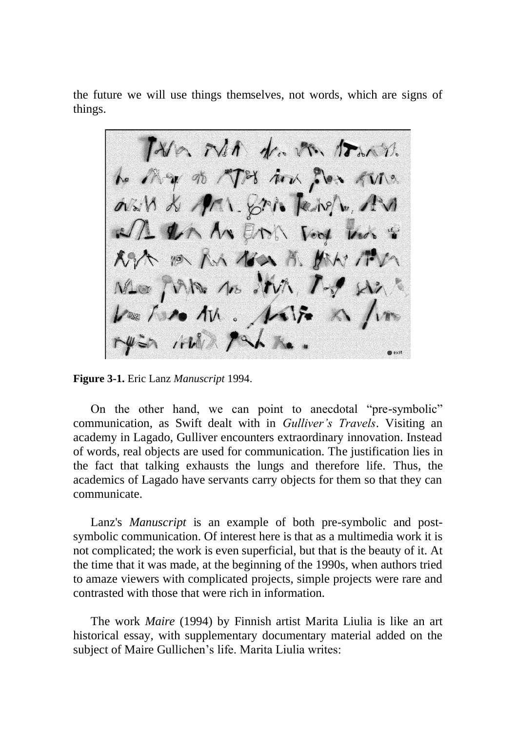the future we will use things themselves, not words, which are signs of things.

Two MA de M Porton.<br>
to My of TP in Perol. Ave.<br>
AW & PM STA Terol. Ave.<br>
AM & PM STA Terol. Vot in T<br>
RyA in An EDA Vot in T<br>
RyA in An Am A. PM Terol.<br>
We find As the Alis A fine

**Figure 3-1.** Eric Lanz *Manuscript* 1994.

On the other hand, we can point to anecdotal "pre-symbolic" communication, as Swift dealt with in *Gulliver's Travels*. Visiting an academy in Lagado, Gulliver encounters extraordinary innovation. Instead of words, real objects are used for communication. The justification lies in the fact that talking exhausts the lungs and therefore life. Thus, the academics of Lagado have servants carry objects for them so that they can communicate.

Lanz's *Manuscript* is an example of both pre-symbolic and postsymbolic communication. Of interest here is that as a multimedia work it is not complicated; the work is even superficial, but that is the beauty of it. At the time that it was made, at the beginning of the 1990s, when authors tried to amaze viewers with complicated projects, simple projects were rare and contrasted with those that were rich in information.

The work *Maire* (1994) by Finnish artist Marita Liulia is like an art historical essay, with supplementary documentary material added on the subject of Maire Gullichen's life. Marita Liulia writes: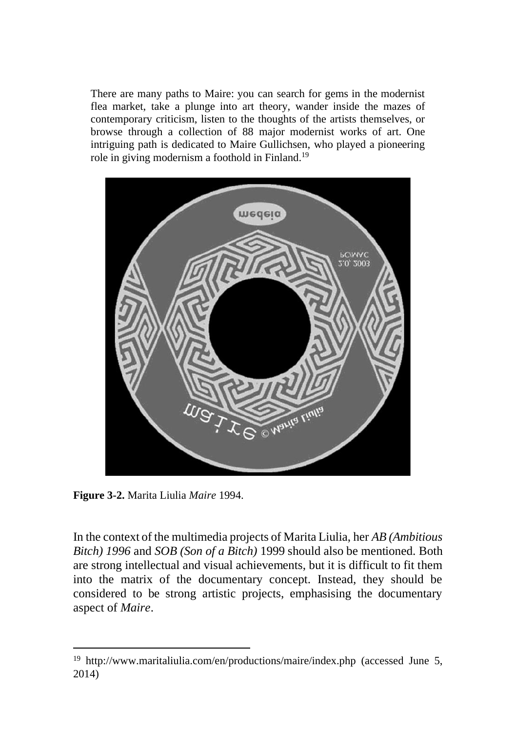There are many paths to Maire: you can search for gems in the modernist flea market, take a plunge into art theory, wander inside the mazes of contemporary criticism, listen to the thoughts of the artists themselves, or browse through a collection of 88 major modernist works of art. One intriguing path is dedicated to Maire Gullichsen, who played a pioneering role in giving modernism a foothold in Finland.<sup>19</sup>



**Figure 3-2.** Marita Liulia *Maire* 1994.

In the context of the multimedia projects of Marita Liulia, her *AB (Ambitious Bitch) 1996* and *SOB (Son of a Bitch)* 1999 should also be mentioned. Both are strong intellectual and visual achievements, but it is difficult to fit them into the matrix of the documentary concept. Instead, they should be considered to be strong artistic projects, emphasising the documentary aspect of *Maire*.

<sup>&</sup>lt;sup>19</sup> http://www.maritaliulia.com/en/productions/maire/index.php (accessed June 5, 2014)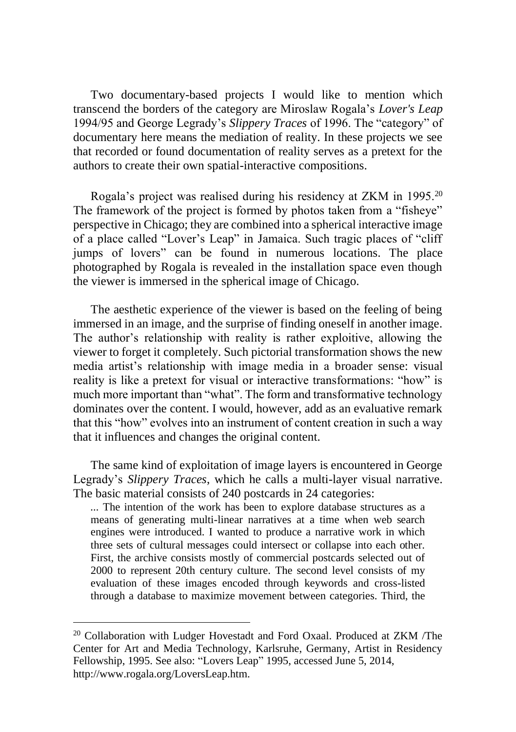Two documentary-based projects I would like to mention which transcend the borders of the category are Miroslaw Rogala's *Lover's Leap* 1994/95 and George Legrady's *Slippery Traces* of 1996. The "category" of documentary here means the mediation of reality. In these projects we see that recorded or found documentation of reality serves as a pretext for the authors to create their own spatial-interactive compositions.

Rogala's project was realised during his residency at ZKM in 1995.<sup>20</sup> The framework of the project is formed by photos taken from a "fisheye" perspective in Chicago; they are combined into a spherical interactive image of a place called "Lover's Leap" in Jamaica. Such tragic places of "cliff jumps of lovers" can be found in numerous locations. The place photographed by Rogala is revealed in the installation space even though the viewer is immersed in the spherical image of Chicago.

The aesthetic experience of the viewer is based on the feeling of being immersed in an image, and the surprise of finding oneself in another image. The author's relationship with reality is rather exploitive, allowing the viewer to forget it completely. Such pictorial transformation shows the new media artist's relationship with image media in a broader sense: visual reality is like a pretext for visual or interactive transformations: "how" is much more important than "what". The form and transformative technology dominates over the content. I would, however, add as an evaluative remark that this "how" evolves into an instrument of content creation in such a way that it influences and changes the original content.

The same kind of exploitation of image layers is encountered in George Legrady's *Slippery Traces*, which he calls a multi-layer visual narrative. The basic material consists of 240 postcards in 24 categories:

*...* The intention of the work has been to explore database structures as a means of generating multi-linear narratives at a time when web search engines were introduced. I wanted to produce a narrative work in which three sets of cultural messages could intersect or collapse into each other. First, the archive consists mostly of commercial postcards selected out of 2000 to represent 20th century culture. The second level consists of my evaluation of these images encoded through keywords and cross-listed through a database to maximize movement between categories. Third, the

<sup>&</sup>lt;sup>20</sup> Collaboration with Ludger Hovestadt and Ford Oxaal. Produced at ZKM /The Center for Art and Media Technology, Karlsruhe, Germany, Artist in Residency Fellowship, 1995. See also: "Lovers Leap" 1995, accessed June 5, 2014, http://www.rogala.org/LoversLeap.htm.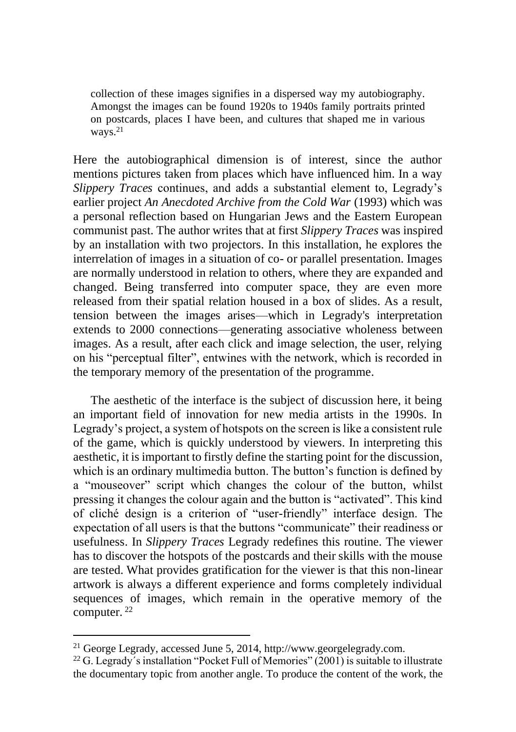collection of these images signifies in a dispersed way my autobiography. Amongst the images can be found 1920s to 1940s family portraits printed on postcards, places I have been, and cultures that shaped me in various ways.<sup>21</sup>

Here the autobiographical dimension is of interest, since the author mentions pictures taken from places which have influenced him. In a way *Slippery Traces* continues, and adds a substantial element to, Legrady's earlier project *An Anecdoted Archive from the Cold War* (1993) which was a personal reflection based on Hungarian Jews and the Eastern European communist past. The author writes that at first *Slippery Traces* was inspired by an installation with two projectors. In this installation, he explores the interrelation of images in a situation of co- or parallel presentation. Images are normally understood in relation to others, where they are expanded and changed. Being transferred into computer space, they are even more released from their spatial relation housed in a box of slides. As a result, tension between the images arises—which in Legrady's interpretation extends to 2000 connections—generating associative wholeness between images. As a result, after each click and image selection, the user, relying on his "perceptual filter", entwines with the network, which is recorded in the temporary memory of the presentation of the programme.

The aesthetic of the interface is the subject of discussion here, it being an important field of innovation for new media artists in the 1990s. In Legrady's project, a system of hotspots on the screen is like a consistent rule of the game, which is quickly understood by viewers. In interpreting this aesthetic, it is important to firstly define the starting point for the discussion, which is an ordinary multimedia button. The button's function is defined by a "mouseover" script which changes the colour of the button, whilst pressing it changes the colour again and the button is "activated". This kind of cliché design is a criterion of "user-friendly" interface design. The expectation of all users is that the buttons "communicate" their readiness or usefulness. In *Slippery Traces* Legrady redefines this routine. The viewer has to discover the hotspots of the postcards and their skills with the mouse are tested. What provides gratification for the viewer is that this non-linear artwork is always a different experience and forms completely individual sequences of images, which remain in the operative memory of the computer. <sup>22</sup>

<sup>21</sup> George Legrady, accessed June 5, 2014, http://www.georgelegrady.com.

<sup>&</sup>lt;sup>22</sup> G. Legrady's installation "Pocket Full of Memories" (2001) is suitable to illustrate the documentary topic from another angle. To produce the content of the work, the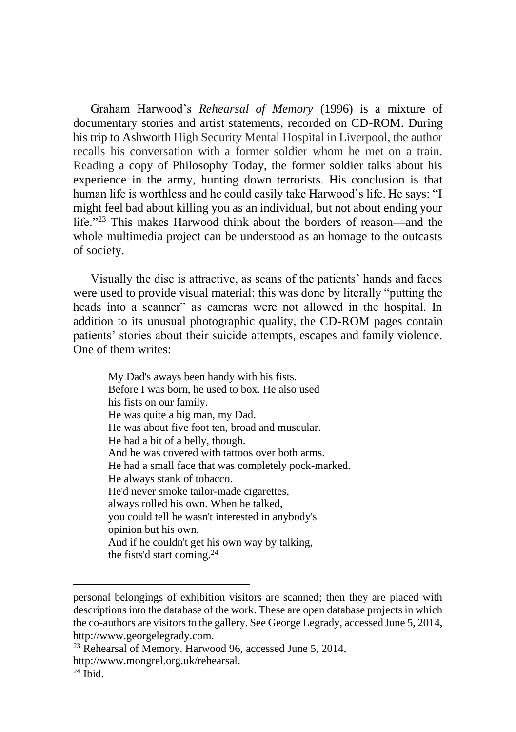Graham Harwood's *Rehearsal of Memory* (1996) is a mixture of documentary stories and artist statements, recorded on CD-ROM. During his trip to Ashworth High Security Mental Hospital in Liverpool, the author recalls his conversation with a former soldier whom he met on a train. Reading a copy of Philosophy Today, the former soldier talks about his experience in the army, hunting down terrorists. His conclusion is that human life is worthless and he could easily take Harwood's life. He says: "I might feel bad about killing you as an individual, but not about ending your life."<sup>23</sup> This makes Harwood think about the borders of reason—and the whole multimedia project can be understood as an homage to the outcasts of society.

Visually the disc is attractive, as scans of the patients' hands and faces were used to provide visual material: this was done by literally "putting the heads into a scanner" as cameras were not allowed in the hospital. In addition to its unusual photographic quality, the CD-ROM pages contain patients' stories about their suicide attempts, escapes and family violence. One of them writes:

My Dad's aways been handy with his fists. Before I was born, he used to box. He also used his fists on our family. He was quite a big man, my Dad. He was about five foot ten, broad and muscular. He had a bit of a belly, though. And he was covered with tattoos over both arms. He had a small face that was completely pock-marked. He always stank of tobacco. He'd never smoke tailor-made cigarettes, always rolled his own. When he talked, you could tell he wasn't interested in anybody's opinion but his own. And if he couldn't get his own way by talking, the fists'd start coming.<sup>24</sup>

personal belongings of exhibition visitors are scanned; then they are placed with descriptions into the database of the work. These are open database projects in which the co-authors are visitors to the gallery. See George Legrady, accessed June 5, 2014, http://www.georgelegrady.com.

<sup>23</sup> Rehearsal of Memory. Harwood 96, accessed June 5, 2014,

http://www.mongrel.org.uk/rehearsal.

 $24$  Ibid.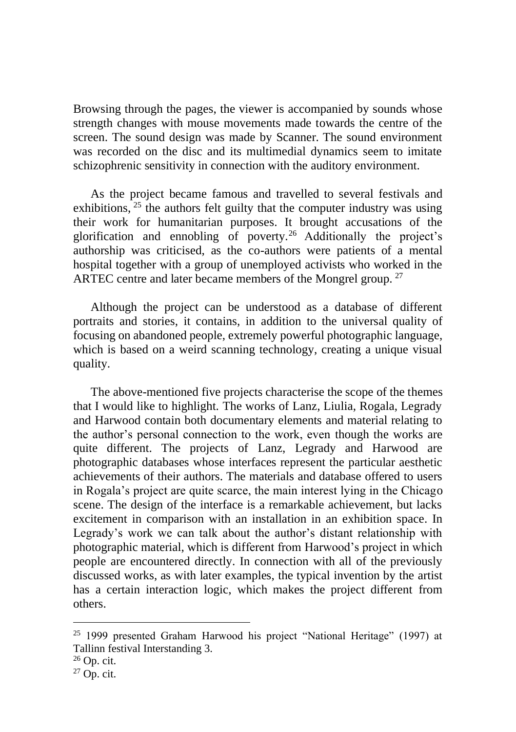Browsing through the pages, the viewer is accompanied by sounds whose strength changes with mouse movements made towards the centre of the screen. The sound design was made by Scanner. The sound environment was recorded on the disc and its multimedial dynamics seem to imitate schizophrenic sensitivity in connection with the auditory environment.

As the project became famous and travelled to several festivals and exhibitions,  $2<sup>5</sup>$  the authors felt guilty that the computer industry was using their work for humanitarian purposes. It brought accusations of the glorification and ennobling of poverty.<sup>26</sup> Additionally the project's authorship was criticised, as the co-authors were patients of a mental hospital together with a group of unemployed activists who worked in the ARTEC centre and later became members of the Mongrel group. <sup>27</sup>

Although the project can be understood as a database of different portraits and stories, it contains, in addition to the universal quality of focusing on abandoned people, extremely powerful photographic language, which is based on a weird scanning technology, creating a unique visual quality.

The above-mentioned five projects characterise the scope of the themes that I would like to highlight. The works of Lanz, Liulia, Rogala, Legrady and Harwood contain both documentary elements and material relating to the author's personal connection to the work, even though the works are quite different. The projects of Lanz, Legrady and Harwood are photographic databases whose interfaces represent the particular aesthetic achievements of their authors. The materials and database offered to users in Rogala's project are quite scarce, the main interest lying in the Chicago scene. The design of the interface is a remarkable achievement, but lacks excitement in comparison with an installation in an exhibition space. In Legrady's work we can talk about the author's distant relationship with photographic material, which is different from Harwood's project in which people are encountered directly. In connection with all of the previously discussed works, as with later examples, the typical invention by the artist has a certain interaction logic, which makes the project different from others.

<sup>25</sup> 1999 presented Graham Harwood his project "National Heritage" (1997) at Tallinn festival Interstanding 3.

<sup>26</sup> Op. cit.

<sup>27</sup> Op. cit.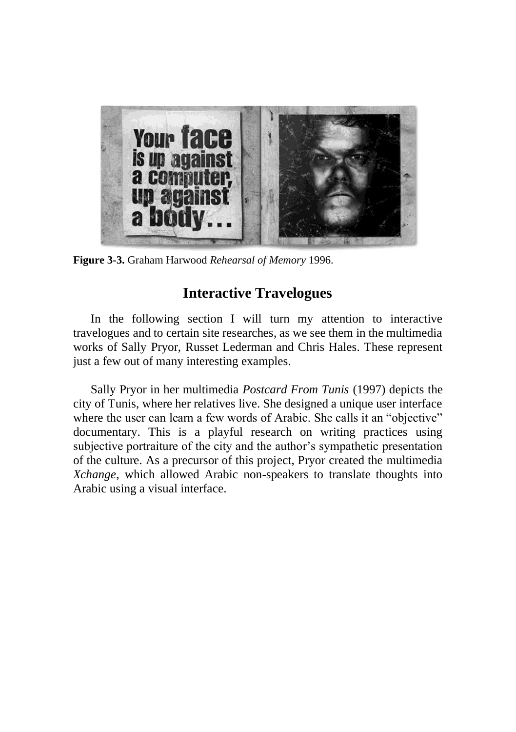

**Figure 3-3.** Graham Harwood *Rehearsal of Memory* 1996.

## **Interactive Travelogues**

In the following section I will turn my attention to interactive travelogues and to certain site researches, as we see them in the multimedia works of Sally Pryor, Russet Lederman and Chris Hales. These represent just a few out of many interesting examples.

Sally Pryor in her multimedia *Postcard From Tunis* (1997) depicts the city of Tunis, where her relatives live. She designed a unique user interface where the user can learn a few words of Arabic. She calls it an "objective" documentary. This is a playful research on writing practices using subjective portraiture of the city and the author's sympathetic presentation of the culture. As a precursor of this project, Pryor created the multimedia *Xchange*, which allowed Arabic non-speakers to translate thoughts into Arabic using a visual interface.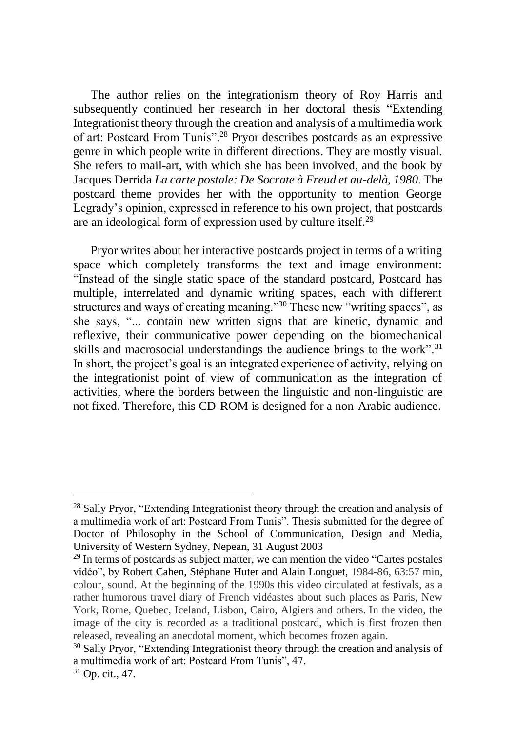The author relies on the integrationism theory of Roy Harris and subsequently continued her research in her doctoral thesis "Extending Integrationist theory through the creation and analysis of a multimedia work of art: Postcard From Tunis".<sup>28</sup> Pryor describes postcards as an expressive genre in which people write in different directions. They are mostly visual. She refers to mail-art, with which she has been involved, and the book by Jacques Derrida *La carte postale: De Socrate à Freud et au-delà, 1980*. The postcard theme provides her with the opportunity to mention George Legrady's opinion, expressed in reference to his own project, that postcards are an ideological form of expression used by culture itself.<sup>29</sup>

Pryor writes about her interactive postcards project in terms of a writing space which completely transforms the text and image environment: "Instead of the single static space of the standard postcard, Postcard has multiple, interrelated and dynamic writing spaces, each with different structures and ways of creating meaning."<sup>30</sup> These new "writing spaces", as she says, "... contain new written signs that are kinetic, dynamic and reflexive, their communicative power depending on the biomechanical skills and macrosocial understandings the audience brings to the work".<sup>31</sup> In short, the project's goal is an integrated experience of activity, relying on the integrationist point of view of communication as the integration of activities, where the borders between the linguistic and non-linguistic are not fixed. Therefore, this CD-ROM is designed for a non-Arabic audience.

<sup>&</sup>lt;sup>28</sup> Sally Pryor, "Extending Integrationist theory through the creation and analysis of a multimedia work of art: Postcard From Tunis". Thesis submitted for the degree of Doctor of Philosophy in the School of Communication, Design and Media, University of Western Sydney, Nepean, 31 August 2003

<sup>&</sup>lt;sup>29</sup> In terms of postcards as subject matter, we can mention the video "Cartes postales" vidéo", by Robert Cahen, Stéphane Huter and Alain Longuet, 1984-86, 63:57 min, colour, sound. At the beginning of the 1990s this video circulated at festivals, as a rather humorous travel diary of French vidéastes about such places as Paris, New York, Rome, Quebec, Iceland, Lisbon, Cairo, Algiers and others. In the video, the image of the city is recorded as a traditional postcard, which is first frozen then released, revealing an anecdotal moment, which becomes frozen again.

<sup>&</sup>lt;sup>30</sup> Sally Pryor, "Extending Integrationist theory through the creation and analysis of a multimedia work of art: Postcard From Tunis", 47.

<sup>31</sup> Op. cit., 47.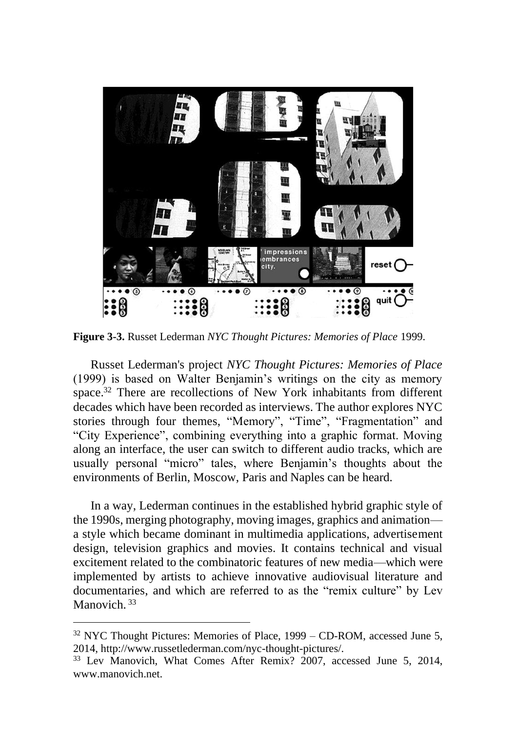

**Figure 3-3.** Russet Lederman *NYC Thought Pictures: Memories of Place* 1999.

Russet Lederman's project *NYC Thought Pictures: Memories of Place* (1999) is based on Walter Benjamin's writings on the city as memory space.<sup>32</sup> There are recollections of New York inhabitants from different decades which have been recorded as interviews. The author explores NYC stories through four themes, "Memory", "Time", "Fragmentation" and "City Experience", combining everything into a graphic format. Moving along an interface, the user can switch to different audio tracks, which are usually personal "micro" tales, where Benjamin's thoughts about the environments of Berlin, Moscow, Paris and Naples can be heard.

In a way, Lederman continues in the established hybrid graphic style of the 1990s, merging photography, moving images, graphics and animation a style which became dominant in multimedia applications, advertisement design, television graphics and movies. It contains technical and visual excitement related to the combinatoric features of new media—which were implemented by artists to achieve innovative audiovisual literature and documentaries, and which are referred to as the "remix culture" by Lev Manovich.<sup>33</sup>

 $32$  NYC Thought Pictures: Memories of Place, 1999 – CD-ROM, accessed June 5, 2014, http://www.russetlederman.com/nyc-thought-pictures/.

<sup>33</sup> Lev Manovich, What Comes After Remix? 2007, accessed June 5, 2014, www.manovich.net.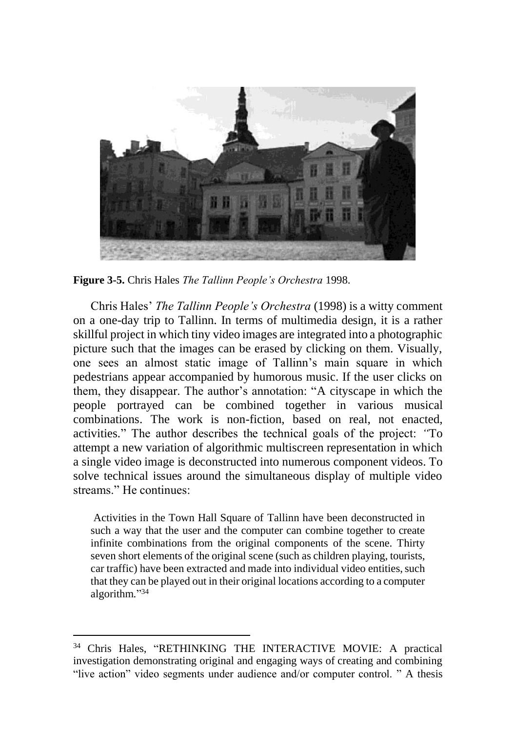

**Figure 3-5.** Chris Hales *The Tallinn People's Orchestra* 1998.

Chris Hales' *The Tallinn People's Orchestra* (1998) is a witty comment on a one-day trip to Tallinn. In terms of multimedia design, it is a rather skillful project in which tiny video images are integrated into a photographic picture such that the images can be erased by clicking on them. Visually, one sees an almost static image of Tallinn's main square in which pedestrians appear accompanied by humorous music. If the user clicks on them, they disappear. The author's annotation: "A cityscape in which the people portrayed can be combined together in various musical combinations. The work is non-fiction, based on real, not enacted, activities*.*" The author describes the technical goals of the project: *"*To attempt a new variation of algorithmic multiscreen representation in which a single video image is deconstructed into numerous component videos. To solve technical issues around the simultaneous display of multiple video streams." He continues:

Activities in the Town Hall Square of Tallinn have been deconstructed in such a way that the user and the computer can combine together to create infinite combinations from the original components of the scene. Thirty seven short elements of the original scene (such as children playing, tourists, car traffic) have been extracted and made into individual video entities, such that they can be played out in their original locations according to a computer algorithm*.*" 34

<sup>&</sup>lt;sup>34</sup> Chris Hales, "RETHINKING THE INTERACTIVE MOVIE: A practical investigation demonstrating original and engaging ways of creating and combining "live action" video segments under audience and/or computer control. " A thesis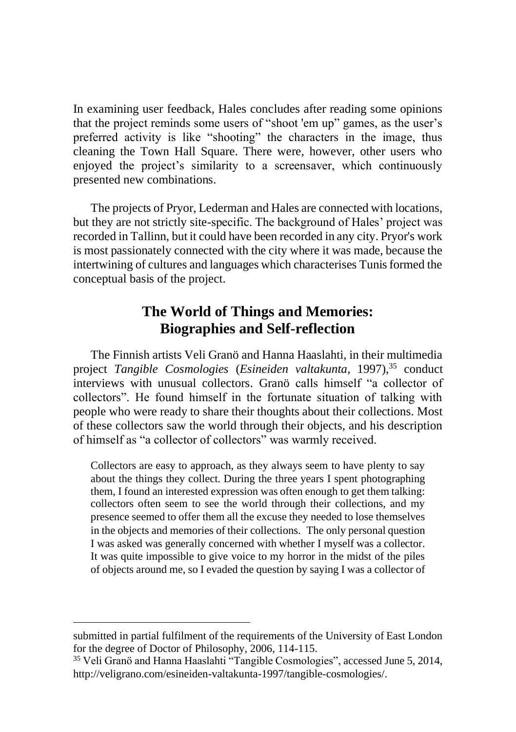In examining user feedback, Hales concludes after reading some opinions that the project reminds some users of "shoot 'em up" games, as the user's preferred activity is like "shooting" the characters in the image, thus cleaning the Town Hall Square. There were, however, other users who enjoyed the project's similarity to a screensaver, which continuously presented new combinations.

The projects of Pryor, Lederman and Hales are connected with locations, but they are not strictly site-specific. The background of Hales' project was recorded in Tallinn, but it could have been recorded in any city. Pryor's work is most passionately connected with the city where it was made, because the intertwining of cultures and languages which characterises Tunis formed the conceptual basis of the project.

## **The World of Things and Memories: Biographies and Self-reflection**

The Finnish artists Veli Granö and Hanna Haaslahti, in their multimedia project *Tangible Cosmologies* (*Esineiden valtakunta*, 1997),<sup>35</sup> conduct interviews with unusual collectors. Granö calls himself "a collector of collectors". He found himself in the fortunate situation of talking with people who were ready to share their thoughts about their collections. Most of these collectors saw the world through their objects, and his description of himself as "a collector of collectors" was warmly received.

Collectors are easy to approach, as they always seem to have plenty to say about the things they collect. During the three years I spent photographing them, I found an interested expression was often enough to get them talking: collectors often seem to see the world through their collections, and my presence seemed to offer them all the excuse they needed to lose themselves in the objects and memories of their collections. The only personal question I was asked was generally concerned with whether I myself was a collector. It was quite impossible to give voice to my horror in the midst of the piles of objects around me, so I evaded the question by saying I was a collector of

submitted in partial fulfilment of the requirements of the University of East London for the degree of Doctor of Philosophy, 2006, 114-115.

<sup>35</sup> Veli Granö and Hanna Haaslahti "Tangible Cosmologies", accessed June 5, 2014, http://veligrano.com/esineiden-valtakunta-1997/tangible-cosmologies/.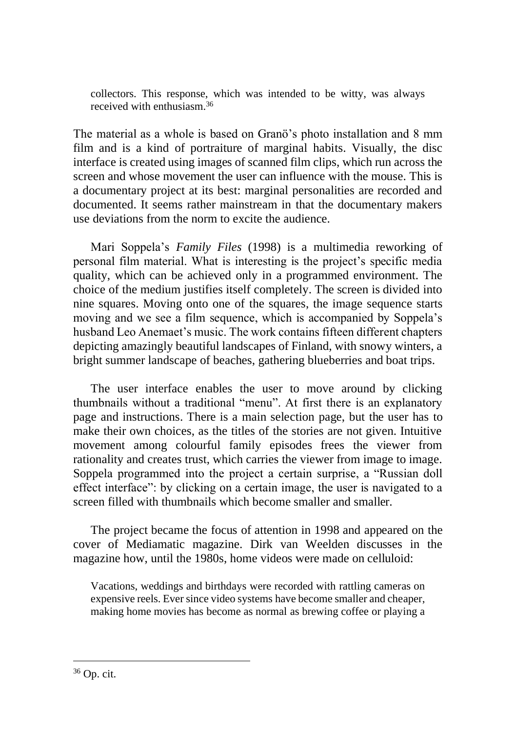collectors. This response, which was intended to be witty, was always received with enthusiasm 36

The material as a whole is based on Granö's photo installation and 8 mm film and is a kind of portraiture of marginal habits. Visually, the disc interface is created using images of scanned film clips, which run across the screen and whose movement the user can influence with the mouse. This is a documentary project at its best: marginal personalities are recorded and documented. It seems rather mainstream in that the documentary makers use deviations from the norm to excite the audience.

Mari Soppela's *Family Files* (1998) is a multimedia reworking of personal film material. What is interesting is the project's specific media quality, which can be achieved only in a programmed environment. The choice of the medium justifies itself completely. The screen is divided into nine squares. Moving onto one of the squares, the image sequence starts moving and we see a film sequence, which is accompanied by Soppela's husband Leo Anemaet's music. The work contains fifteen different chapters depicting amazingly beautiful landscapes of Finland, with snowy winters, a bright summer landscape of beaches, gathering blueberries and boat trips.

The user interface enables the user to move around by clicking thumbnails without a traditional "menu". At first there is an explanatory page and instructions. There is a main selection page, but the user has to make their own choices, as the titles of the stories are not given. Intuitive movement among colourful family episodes frees the viewer from rationality and creates trust, which carries the viewer from image to image. Soppela programmed into the project a certain surprise, a "Russian doll effect interface": by clicking on a certain image, the user is navigated to a screen filled with thumbnails which become smaller and smaller.

The project became the focus of attention in 1998 and appeared on the cover of Mediamatic magazine. Dirk van Weelden discusses in the magazine how, until the 1980s, home videos were made on celluloid:

Vacations, weddings and birthdays were recorded with rattling cameras on expensive reels. Ever since video systems have become smaller and cheaper, making home movies has become as normal as brewing coffee or playing a

<sup>36</sup> Op. cit.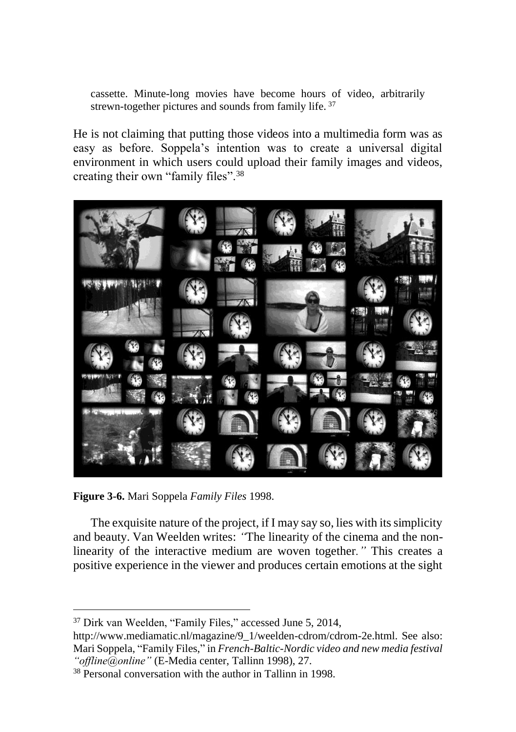cassette. Minute-long movies have become hours of video, arbitrarily strewn-together pictures and sounds from family life.<sup>37</sup>

He is not claiming that putting those videos into a multimedia form was as easy as before. Soppela's intention was to create a universal digital environment in which users could upload their family images and videos, creating their own "family files".<sup>38</sup>



**Figure 3-6.** Mari Soppela *Family Files* 1998.

The exquisite nature of the project, if I may say so, lies with its simplicity and beauty. Van Weelden writes: *"*The linearity of the cinema and the nonlinearity of the interactive medium are woven together*."* This creates a positive experience in the viewer and produces certain emotions at the sight

<sup>37</sup> Dirk van Weelden, "Family Files," accessed June 5, 2014,

http://www.mediamatic.nl/magazine/9\_1/weelden-cdrom/cdrom-2e.html. See also: Mari Soppela, "Family Files," in *French-Baltic-Nordic video and new media festival "offline@online"* (E-Media center, Tallinn 1998), 27.

<sup>38</sup> Personal conversation with the author in Tallinn in 1998.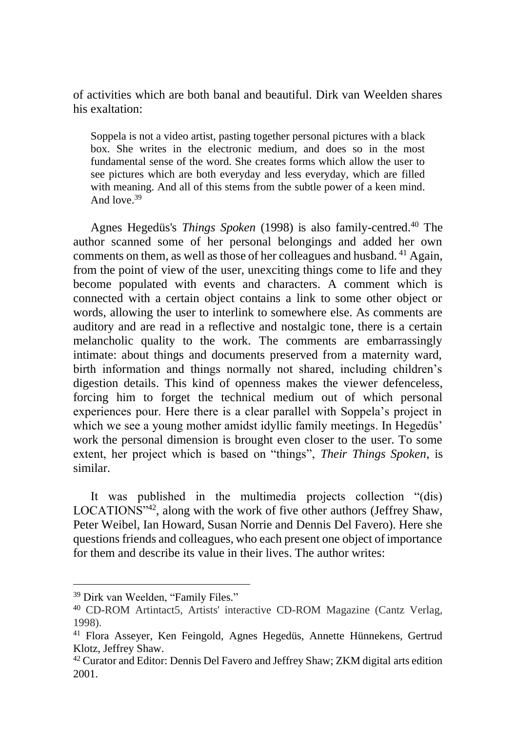of activities which are both banal and beautiful. Dirk van Weelden shares his exaltation:

Soppela is not a video artist, pasting together personal pictures with a black box. She writes in the electronic medium, and does so in the most fundamental sense of the word. She creates forms which allow the user to see pictures which are both everyday and less everyday, which are filled with meaning. And all of this stems from the subtle power of a keen mind. And love.<sup>39</sup>

Agnes Hegedüs's *Things Spoken* (1998) is also family-centred.<sup>40</sup> The author scanned some of her personal belongings and added her own comments on them, as well as those of her colleagues and husband. <sup>41</sup> Again, from the point of view of the user, unexciting things come to life and they become populated with events and characters. A comment which is connected with a certain object contains a link to some other object or words, allowing the user to interlink to somewhere else. As comments are auditory and are read in a reflective and nostalgic tone, there is a certain melancholic quality to the work. The comments are embarrassingly intimate: about things and documents preserved from a maternity ward, birth information and things normally not shared, including children's digestion details. This kind of openness makes the viewer defenceless, forcing him to forget the technical medium out of which personal experiences pour. Here there is a clear parallel with Soppela's project in which we see a young mother amidst idyllic family meetings. In Hegedüs' work the personal dimension is brought even closer to the user. To some extent, her project which is based on "things", *Their Things Spoken*, is similar.

It was published in the multimedia projects collection "(dis) LOCATIONS<sup>"42</sup>, along with the work of five other authors (Jeffrey Shaw, Peter Weibel, Ian Howard, Susan Norrie and Dennis Del Favero). Here she questions friends and colleagues, who each present one object of importance for them and describe its value in their lives. The author writes:

<sup>39</sup> Dirk van Weelden, "Family Files."

<sup>40</sup> CD-ROM Artintact5, Artists' interactive CD-ROM Magazine (Cantz Verlag, 1998).

<sup>41</sup> Flora Asseyer, Ken Feingold, Agnes Hegedüs, Annette Hünnekens, Gertrud Klotz, Jeffrey Shaw.

<sup>42</sup> Curator and Editor: Dennis Del Favero and Jeffrey Shaw; ZKM digital arts edition 2001.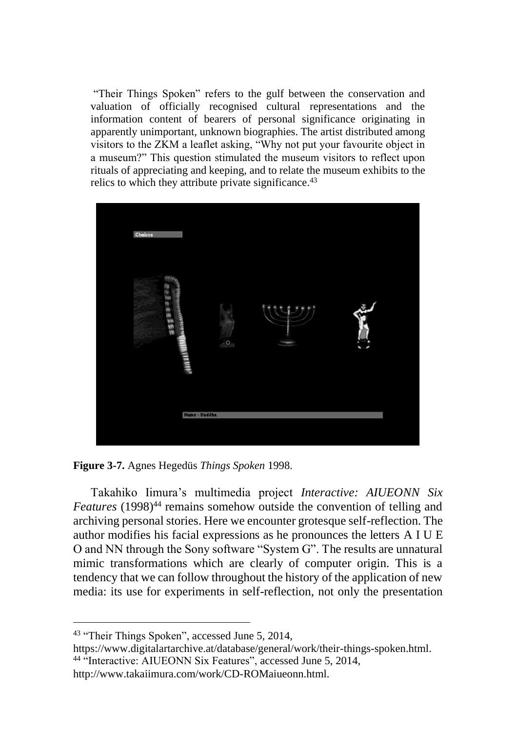"Their Things Spoken" refers to the gulf between the conservation and valuation of officially recognised cultural representations and the information content of bearers of personal significance originating in apparently unimportant, unknown biographies. The artist distributed among visitors to the ZKM a leaflet asking, "Why not put your favourite object in a museum?" This question stimulated the museum visitors to reflect upon rituals of appreciating and keeping, and to relate the museum exhibits to the relics to which they attribute private significance.<sup>43</sup>



**Figure 3-7.** Agnes Hegedüs *Things Spoken* 1998.

Takahiko Iimura's multimedia project *Interactive: AIUEONN Six Features* (1998)<sup>44</sup> remains somehow outside the convention of telling and archiving personal stories. Here we encounter grotesque self-reflection. The author modifies his facial expressions as he pronounces the letters A I U E O and NN through the Sony software "System G". The results are unnatural mimic transformations which are clearly of computer origin. This is a tendency that we can follow throughout the history of the application of new media: its use for experiments in self-reflection, not only the presentation

https://www.digitalartarchive.at/database/general/work/their-things-spoken.html. <sup>44 "</sup>Interactive: AIUEONN Six Features", accessed June 5, 2014,

http://www.takaiimura.com/work/CD-ROMaiueonn.html.

<sup>43</sup> "Their Things Spoken", accessed June 5, 2014,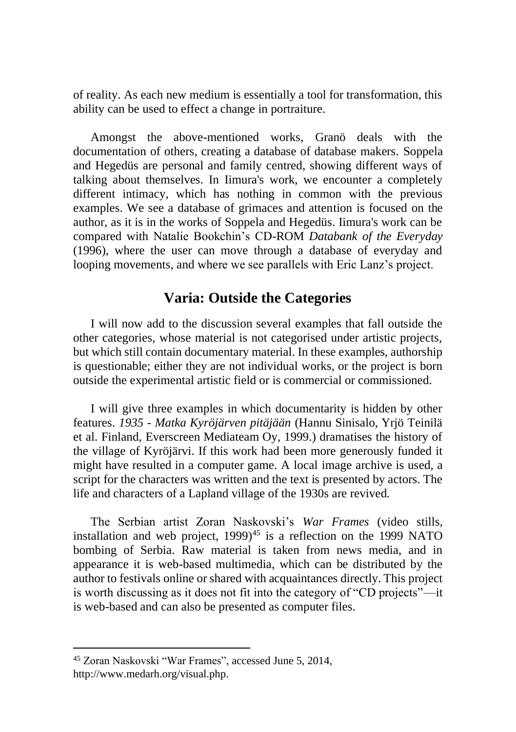of reality. As each new medium is essentially a tool for transformation, this ability can be used to effect a change in portraiture.

Amongst the above-mentioned works, Granö deals with the documentation of others, creating a database of database makers. Soppela and Hegedüs are personal and family centred, showing different ways of talking about themselves. In Iimura's work, we encounter a completely different intimacy, which has nothing in common with the previous examples. We see a database of grimaces and attention is focused on the author, as it is in the works of Soppela and Hegedüs. Iimura's work can be compared with Natalie Bookchin's CD-ROM *Databank of the Everyday* (1996), where the user can move through a database of everyday and looping movements, and where we see parallels with Eric Lanz's project.

### **Varia: Outside the Categories**

I will now add to the discussion several examples that fall outside the other categories, whose material is not categorised under artistic projects, but which still contain documentary material. In these examples, authorship is questionable; either they are not individual works, or the project is born outside the experimental artistic field or is commercial or commissioned.

I will give three examples in which documentarity is hidden by other features. *1935 - Matka Kyröjärven pitäjään* (Hannu Sinisalo, Yrjö Teinilä et al. Finland, Everscreen Mediateam Oy, 1999.) dramatises the history of the village of Kyröjärvi. If this work had been more generously funded it might have resulted in a computer game. A local image archive is used, a script for the characters was written and the text is presented by actors. The life and characters of a Lapland village of the 1930s are revived.

The Serbian artist Zoran Naskovski's *War Frames* (video stills, installation and web project,  $1999$ <sup>45</sup> is a reflection on the 1999 NATO bombing of Serbia. Raw material is taken from news media, and in appearance it is web-based multimedia, which can be distributed by the author to festivals online or shared with acquaintances directly. This project is worth discussing as it does not fit into the category of "CD projects"—it is web-based and can also be presented as computer files.

<sup>45</sup> Zoran Naskovski "War Frames", accessed June 5, 2014, http://www.medarh.org/visual.php.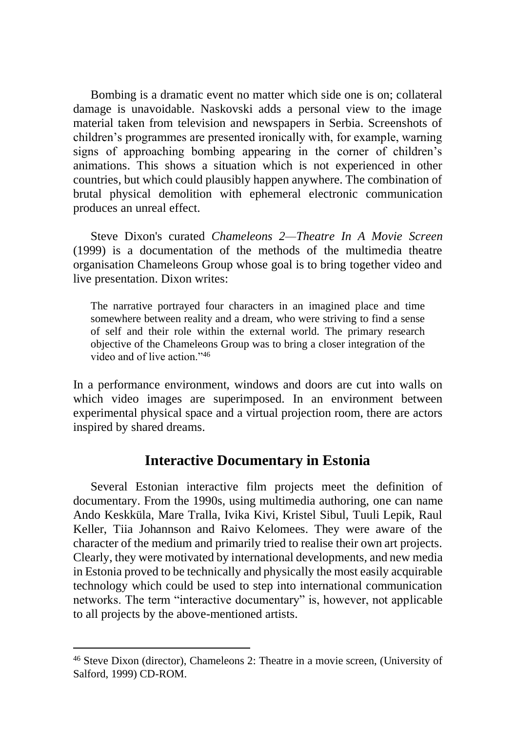Bombing is a dramatic event no matter which side one is on; collateral damage is unavoidable. Naskovski adds a personal view to the image material taken from television and newspapers in Serbia. Screenshots of children's programmes are presented ironically with, for example, warning signs of approaching bombing appearing in the corner of children's animations. This shows a situation which is not experienced in other countries, but which could plausibly happen anywhere. The combination of brutal physical demolition with ephemeral electronic communication produces an unreal effect.

Steve Dixon's curated *Chameleons 2—Theatre In A Movie Screen* (1999) is a documentation of the methods of the multimedia theatre organisation Chameleons Group whose goal is to bring together video and live presentation. Dixon writes:

The narrative portrayed four characters in an imagined place and time somewhere between reality and a dream, who were striving to find a sense of self and their role within the external world. The primary research objective of the Chameleons Group was to bring a closer integration of the video and of live action."<sup>46</sup>

In a performance environment, windows and doors are cut into walls on which video images are superimposed. In an environment between experimental physical space and a virtual projection room, there are actors inspired by shared dreams.

#### **Interactive Documentary in Estonia**

Several Estonian interactive film projects meet the definition of documentary. From the 1990s, using multimedia authoring, one can name Ando Keskküla, Mare Tralla, Ivika Kivi, Kristel Sibul, Tuuli Lepik, Raul Keller, Tiia Johannson and Raivo Kelomees. They were aware of the character of the medium and primarily tried to realise their own art projects. Clearly, they were motivated by international developments, and new media in Estonia proved to be technically and physically the most easily acquirable technology which could be used to step into international communication networks. The term "interactive documentary" is, however, not applicable to all projects by the above-mentioned artists.

<sup>46</sup> Steve Dixon (director), Chameleons 2: Theatre in a movie screen, (University of Salford, 1999) CD-ROM.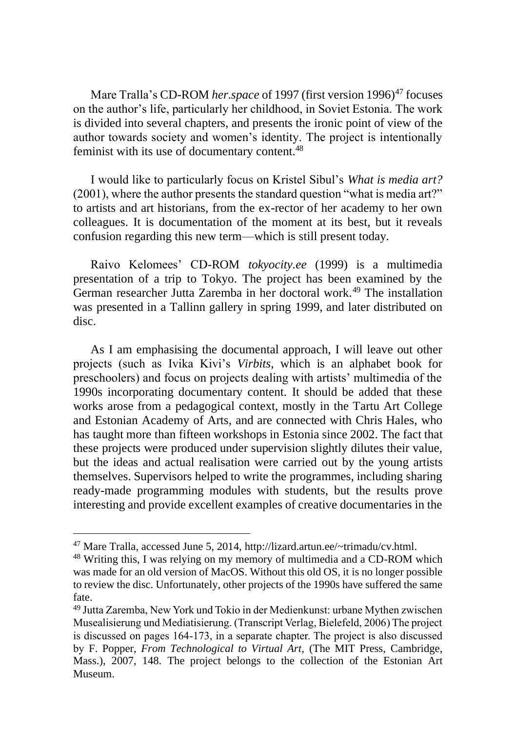Mare Tralla's CD-ROM *her.space* of 1997 (first version 1996)<sup>47</sup> focuses on the author's life, particularly her childhood, in Soviet Estonia. The work is divided into several chapters, and presents the ironic point of view of the author towards society and women's identity. The project is intentionally feminist with its use of documentary content.<sup>48</sup>

I would like to particularly focus on Kristel Sibul's *What is media art?* (2001), where the author presents the standard question "what is media art?" to artists and art historians, from the ex-rector of her academy to her own colleagues. It is documentation of the moment at its best, but it reveals confusion regarding this new term—which is still present today.

Raivo Kelomees' CD-ROM *tokyocity.ee* (1999) is a multimedia presentation of a trip to Tokyo. The project has been examined by the German researcher Jutta Zaremba in her doctoral work.<sup>49</sup> The installation was presented in a Tallinn gallery in spring 1999, and later distributed on disc.

As I am emphasising the documental approach, I will leave out other projects (such as Ivika Kivi's *Virbits*, which is an alphabet book for preschoolers) and focus on projects dealing with artists' multimedia of the 1990s incorporating documentary content. It should be added that these works arose from a pedagogical context, mostly in the Tartu Art College and Estonian Academy of Arts, and are connected with Chris Hales, who has taught more than fifteen workshops in Estonia since 2002. The fact that these projects were produced under supervision slightly dilutes their value, but the ideas and actual realisation were carried out by the young artists themselves. Supervisors helped to write the programmes, including sharing ready-made programming modules with students, but the results prove interesting and provide excellent examples of creative documentaries in the

<sup>47</sup> Mare Tralla, accessed June 5, 2014, http://lizard.artun.ee/~trimadu/cv.html.

<sup>48</sup> Writing this, I was relying on my memory of multimedia and a CD-ROM which was made for an old version of MacOS. Without this old OS, it is no longer possible to review the disc. Unfortunately, other projects of the 1990s have suffered the same fate.

<sup>49</sup> Jutta Zaremba, New York und Tokio in der Medienkunst: urbane Mythen zwischen Musealisierung und Mediatisierung. (Transcript Verlag, Bielefeld, 2006) The project is discussed on pages 164-173, in a separate chapter. The project is also discussed by F. Popper, *From Technological to Virtual Art*, (The MIT Press, Cambridge, Mass.), 2007, 148. The project belongs to the collection of the Estonian Art Museum.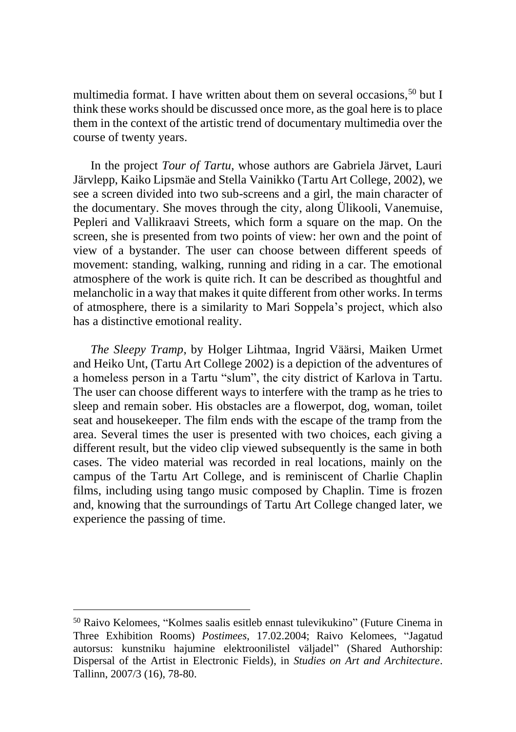multimedia format. I have written about them on several occasions,  $50$  but I think these works should be discussed once more, as the goal here is to place them in the context of the artistic trend of documentary multimedia over the course of twenty years.

In the project *Tour of Tartu*, whose authors are Gabriela Järvet, Lauri Järvlepp, Kaiko Lipsmäe and Stella Vainikko (Tartu Art College, 2002), we see a screen divided into two sub-screens and a girl, the main character of the documentary. She moves through the city, along Ülikooli, Vanemuise, Pepleri and Vallikraavi Streets, which form a square on the map. On the screen, she is presented from two points of view: her own and the point of view of a bystander. The user can choose between different speeds of movement: standing, walking, running and riding in a car. The emotional atmosphere of the work is quite rich. It can be described as thoughtful and melancholic in a way that makes it quite different from other works. In terms of atmosphere, there is a similarity to Mari Soppela's project, which also has a distinctive emotional reality.

*The Sleepy Tramp*, by Holger Lihtmaa, Ingrid Väärsi, Maiken Urmet and Heiko Unt, (Tartu Art College 2002) is a depiction of the adventures of a homeless person in a Tartu "slum", the city district of Karlova in Tartu. The user can choose different ways to interfere with the tramp as he tries to sleep and remain sober. His obstacles are a flowerpot, dog, woman, toilet seat and housekeeper. The film ends with the escape of the tramp from the area. Several times the user is presented with two choices, each giving a different result, but the video clip viewed subsequently is the same in both cases. The video material was recorded in real locations, mainly on the campus of the Tartu Art College, and is reminiscent of Charlie Chaplin films, including using tango music composed by Chaplin. Time is frozen and, knowing that the surroundings of Tartu Art College changed later, we experience the passing of time.

<sup>50</sup> Raivo Kelomees, "Kolmes saalis esitleb ennast tulevikukino" (Future Cinema in Three Exhibition Rooms) *Postimees*, 17.02.2004; Raivo Kelomees, "Jagatud autorsus: kunstniku hajumine elektroonilistel väljadel" (Shared Authorship: Dispersal of the Artist in Electronic Fields), in *Studies on Art and Architecture*. Tallinn, 2007/3 (16), 78-80.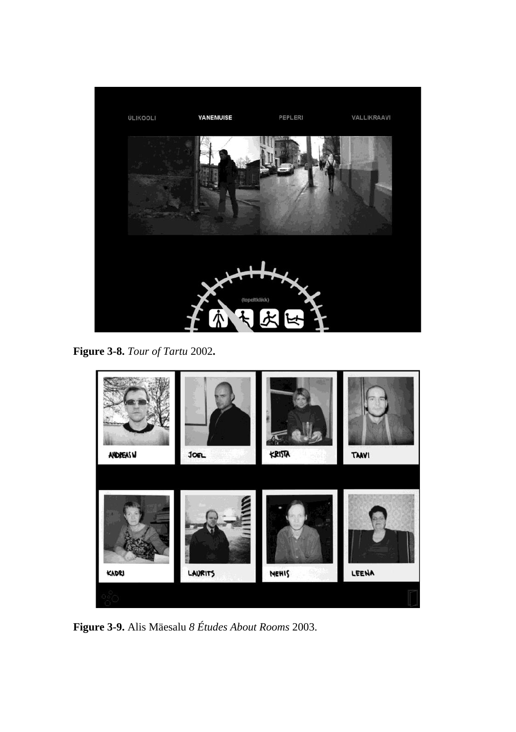

**Figure 3-8.** *Tour of Tartu* 2002**.**



**Figure 3-9.** Alis Mäesalu *8 Études About Rooms* 2003.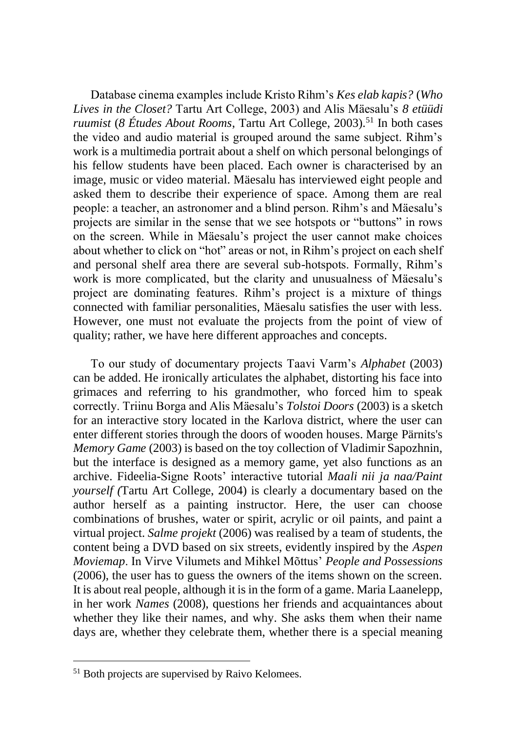Database cinema examples include Kristo Rihm's *Kes elab kapis?* (*Who Lives in the Closet?* Tartu Art College, 2003) and Alis Mäesalu's *8 etüüdi ruumist* (*8 Études About Rooms*, Tartu Art College, 2003).<sup>51</sup> In both cases the video and audio material is grouped around the same subject. Rihm's work is a multimedia portrait about a shelf on which personal belongings of his fellow students have been placed. Each owner is characterised by an image, music or video material. Mäesalu has interviewed eight people and asked them to describe their experience of space. Among them are real people: a teacher, an astronomer and a blind person. Rihm's and Mäesalu's projects are similar in the sense that we see hotspots or "buttons" in rows on the screen. While in Mäesalu's project the user cannot make choices about whether to click on "hot" areas or not, in Rihm's project on each shelf and personal shelf area there are several sub-hotspots. Formally, Rihm's work is more complicated, but the clarity and unusualness of Mäesalu's project are dominating features. Rihm's project is a mixture of things connected with familiar personalities, Mäesalu satisfies the user with less. However, one must not evaluate the projects from the point of view of quality; rather, we have here different approaches and concepts.

To our study of documentary projects Taavi Varm's *Alphabet* (2003) can be added. He ironically articulates the alphabet, distorting his face into grimaces and referring to his grandmother, who forced him to speak correctly. Triinu Borga and Alis Mäesalu's *Tolstoi Doors* (2003) is a sketch for an interactive story located in the Karlova district, where the user can enter different stories through the doors of wooden houses. Marge Pärnits's *Memory Game* (2003) is based on the toy collection of Vladimir Sapozhnin, but the interface is designed as a memory game, yet also functions as an archive. Fideelia-Signe Roots' interactive tutorial *Maali nii ja naa/Paint yourself (*Tartu Art College, 2004) is clearly a documentary based on the author herself as a painting instructor. Here, the user can choose combinations of brushes, water or spirit, acrylic or oil paints, and paint a virtual project. *Salme projekt* (2006) was realised by a team of students, the content being a DVD based on six streets, evidently inspired by the *Aspen Moviemap*. In Virve Vilumets and Mihkel Mõttus' *People and Possessions* (2006), the user has to guess the owners of the items shown on the screen. It is about real people, although it is in the form of a game. Maria Laanelepp, in her work *Names* (2008), questions her friends and acquaintances about whether they like their names, and why. She asks them when their name days are, whether they celebrate them, whether there is a special meaning

<sup>51</sup> Both projects are supervised by Raivo Kelomees.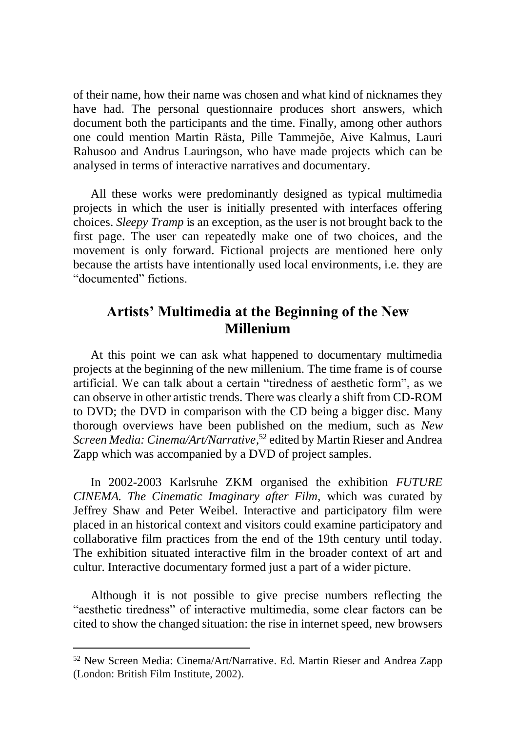of their name, how their name was chosen and what kind of nicknames they have had. The personal questionnaire produces short answers, which document both the participants and the time. Finally, among other authors one could mention Martin Rästa, Pille Tammejõe, Aive Kalmus, Lauri Rahusoo and Andrus Lauringson, who have made projects which can be analysed in terms of interactive narratives and documentary.

All these works were predominantly designed as typical multimedia projects in which the user is initially presented with interfaces offering choices. *Sleepy Tramp* is an exception, as the user is not brought back to the first page. The user can repeatedly make one of two choices, and the movement is only forward. Fictional projects are mentioned here only because the artists have intentionally used local environments, i.e. they are "documented" fictions.

## **Artists' Multimedia at the Beginning of the New Millenium**

At this point we can ask what happened to documentary multimedia projects at the beginning of the new millenium. The time frame is of course artificial. We can talk about a certain "tiredness of aesthetic form", as we can observe in other artistic trends. There was clearly a shift from CD-ROM to DVD; the DVD in comparison with the CD being a bigger disc. Many thorough overviews have been published on the medium, such as *New Screen Media: Cinema/Art/Narrative*, <sup>52</sup> edited by Martin Rieser and Andrea Zapp which was accompanied by a DVD of project samples.

In 2002-2003 Karlsruhe ZKM organised the exhibition *FUTURE CINEMA. The Cinematic Imaginary after Film,* which was curated by Jeffrey Shaw and Peter Weibel. Interactive and participatory film were placed in an historical context and visitors could examine participatory and collaborative film practices from the end of the 19th century until today. The exhibition situated interactive film in the broader context of art and cultur. Interactive documentary formed just a part of a wider picture.

Although it is not possible to give precise numbers reflecting the "aesthetic tiredness" of interactive multimedia, some clear factors can be cited to show the changed situation: the rise in internet speed, new browsers

<sup>52</sup> New Screen Media: Cinema/Art/Narrative. Ed. Martin Rieser and Andrea Zapp (London: British Film Institute, 2002).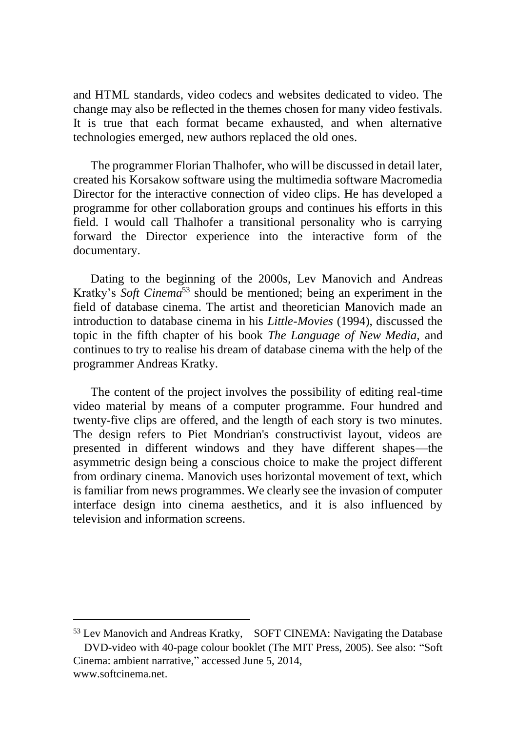and HTML standards, video codecs and websites dedicated to video. The change may also be reflected in the themes chosen for many video festivals. It is true that each format became exhausted, and when alternative technologies emerged, new authors replaced the old ones.

The programmer Florian Thalhofer, who will be discussed in detail later, created his Korsakow software using the multimedia software Macromedia Director for the interactive connection of video clips. He has developed a programme for other collaboration groups and continues his efforts in this field. I would call Thalhofer a transitional personality who is carrying forward the Director experience into the interactive form of the documentary.

Dating to the beginning of the 2000s, Lev Manovich and Andreas Kratky's *Soft Cinema*<sup>53</sup> should be mentioned; being an experiment in the field of database cinema. The artist and theoretician Manovich made an introduction to database cinema in his *Little-Movies* (1994), discussed the topic in the fifth chapter of his book *The Language of New Media,* and continues to try to realise his dream of database cinema with the help of the programmer Andreas Kratky.

The content of the project involves the possibility of editing real-time video material by means of a computer programme. Four hundred and twenty-five clips are offered, and the length of each story is two minutes. The design refers to Piet Mondrian's constructivist layout, videos are presented in different windows and they have different shapes—the asymmetric design being a conscious choice to make the project different from ordinary cinema. Manovich uses horizontal movement of text, which is familiar from news programmes. We clearly see the invasion of computer interface design into cinema aesthetics, and it is also influenced by television and information screens.

<sup>53</sup> Lev Manovich and Andreas Kratky, SOFT CINEMA: Navigating the Database DVD-video with 40-page colour booklet (The MIT Press, 2005). See also: "Soft Cinema: ambient narrative," accessed June 5, 2014, www.softcinema.net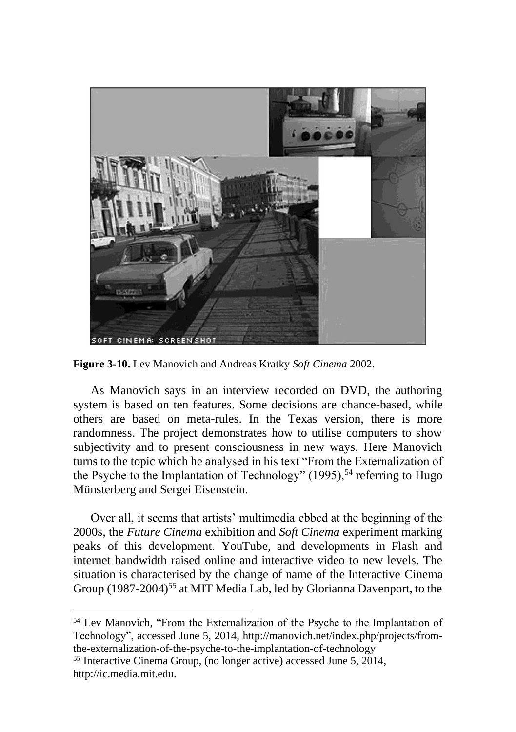

**Figure 3-10.** Lev Manovich and Andreas Kratky *Soft Cinema* 2002.

As Manovich says in an interview recorded on DVD, the authoring system is based on ten features. Some decisions are chance-based, while others are based on meta-rules. In the Texas version, there is more randomness. The project demonstrates how to utilise computers to show subjectivity and to present consciousness in new ways. Here Manovich turns to the topic which he analysed in his text "From the Externalization of the Psyche to the Implantation of Technology"  $(1995)$ ,<sup>54</sup> referring to Hugo Münsterberg and Sergei Eisenstein.

Over all, it seems that artists' multimedia ebbed at the beginning of the 2000s, the *Future Cinema* exhibition and *Soft Cinema* experiment marking peaks of this development. YouTube, and developments in Flash and internet bandwidth raised online and interactive video to new levels. The situation is characterised by the change of name of the Interactive Cinema Group (1987-2004)<sup>55</sup> at MIT Media Lab, led by Glorianna Davenport, to the

<sup>54</sup> Lev Manovich, "From the Externalization of the Psyche to the Implantation of Technology", accessed June 5, 2014, http://manovich.net/index.php/projects/fromthe-externalization-of-the-psyche-to-the-implantation-of-technology

<sup>55</sup> Interactive Cinema Group, (no longer active) accessed June 5, 2014, http://ic.media.mit.edu.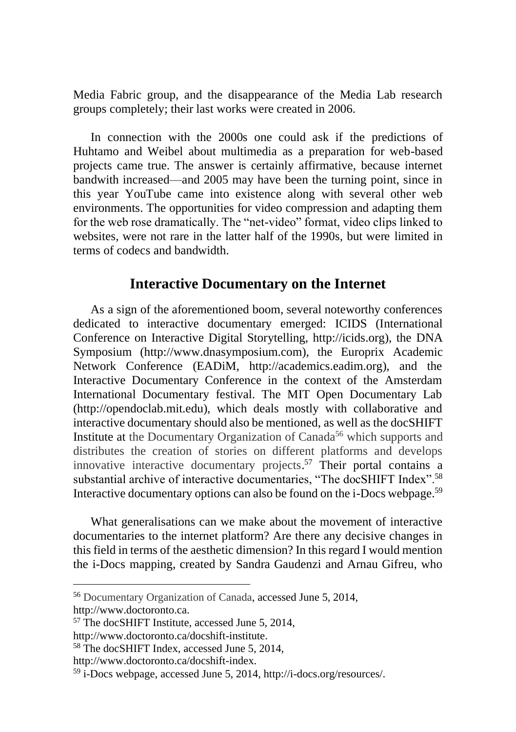Media Fabric group, and the disappearance of the Media Lab research groups completely; their last works were created in 2006.

In connection with the 2000s one could ask if the predictions of Huhtamo and Weibel about multimedia as a preparation for web-based projects came true. The answer is certainly affirmative, because internet bandwith increased—and 2005 may have been the turning point, since in this year YouTube came into existence along with several other web environments. The opportunities for video compression and adapting them for the web rose dramatically. The "net-video" format, video clips linked to websites, were not rare in the latter half of the 1990s, but were limited in terms of codecs and bandwidth.

#### **Interactive Documentary on the Internet**

As a sign of the aforementioned boom, several noteworthy conferences dedicated to interactive documentary emerged: ICIDS (International Conference on Interactive Digital Storytelling, http://icids.org), the DNA Symposium (http://www.dnasymposium.com), the Europrix Academic Network Conference (EADiM, http://academics.eadim.org), and the Interactive Documentary Conference in the context of the Amsterdam International Documentary festival. The MIT Open Documentary Lab (http://opendoclab.mit.edu), which deals mostly with collaborative and interactive documentary should also be mentioned, as well as the docSHIFT Institute at the Documentary Organization of Canada<sup>56</sup> which supports and distributes the creation of stories on different platforms and develops innovative interactive documentary projects. <sup>57</sup> Their portal contains a substantial archive of interactive documentaries, "The docSHIFT Index".<sup>58</sup> Interactive documentary options can also be found on the i-Docs webpage.<sup>59</sup>

What generalisations can we make about the movement of interactive documentaries to the internet platform? Are there any decisive changes in this field in terms of the aesthetic dimension? In this regard I would mention the i-Docs mapping, created by Sandra Gaudenzi and Arnau Gifreu, who

<sup>56</sup> Documentary Organization of Canada, accessed June 5, 2014,

http://www.doctoronto.ca.

<sup>57</sup> The docSHIFT Institute, accessed June 5, 2014,

http://www.doctoronto.ca/docshift-institute.

<sup>&</sup>lt;sup>58</sup> The docSHIFT Index, accessed June 5, 2014,

http://www.doctoronto.ca/docshift-index.

<sup>59</sup> i-Docs webpage, accessed June 5, 2014, http://i-docs.org/resources/.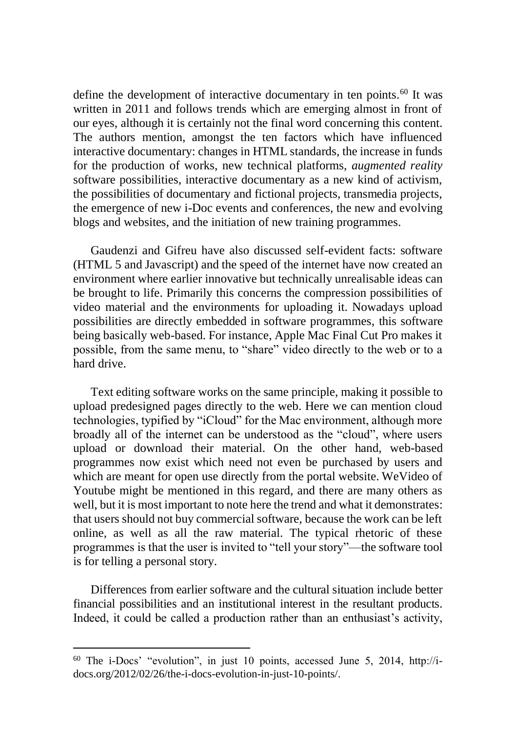define the development of interactive documentary in ten points.<sup>60</sup> It was written in 2011 and follows trends which are emerging almost in front of our eyes, although it is certainly not the final word concerning this content. The authors mention, amongst the ten factors which have influenced interactive documentary: changes in HTML standards, the increase in funds for the production of works, new technical platforms, *augmented reality*  software possibilities, interactive documentary as a new kind of activism, the possibilities of documentary and fictional projects, transmedia projects, the emergence of new i-Doc events and conferences, the new and evolving blogs and websites, and the initiation of new training programmes.

Gaudenzi and Gifreu have also discussed self-evident facts: software (HTML 5 and Javascript) and the speed of the internet have now created an environment where earlier innovative but technically unrealisable ideas can be brought to life. Primarily this concerns the compression possibilities of video material and the environments for uploading it. Nowadays upload possibilities are directly embedded in software programmes, this software being basically web-based. For instance, Apple Mac Final Cut Pro makes it possible, from the same menu, to "share" video directly to the web or to a hard drive.

Text editing software works on the same principle, making it possible to upload predesigned pages directly to the web. Here we can mention cloud technologies, typified by "iCloud" for the Mac environment, although more broadly all of the internet can be understood as the "cloud", where users upload or download their material. On the other hand, web-based programmes now exist which need not even be purchased by users and which are meant for open use directly from the portal website. WeVideo of Youtube might be mentioned in this regard, and there are many others as well, but it is most important to note here the trend and what it demonstrates: that users should not buy commercial software, because the work can be left online, as well as all the raw material. The typical rhetoric of these programmes is that the user is invited to "tell your story"—the software tool is for telling a personal story.

Differences from earlier software and the cultural situation include better financial possibilities and an institutional interest in the resultant products. Indeed, it could be called a production rather than an enthusiast's activity,

<sup>60</sup> The i-Docs' "evolution", in just 10 points, accessed June 5, 2014, http://idocs.org/2012/02/26/the-i-docs-evolution-in-just-10-points/.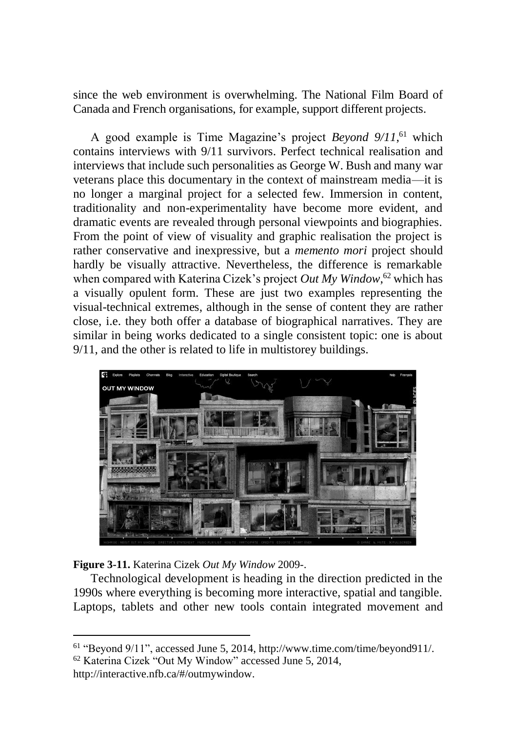since the web environment is overwhelming. The National Film Board of Canada and French organisations, for example, support different projects.

A good example is Time Magazine's project *Beyond 9/11*, <sup>61</sup> which contains interviews with 9/11 survivors. Perfect technical realisation and interviews that include such personalities as George W. Bush and many war veterans place this documentary in the context of mainstream media—it is no longer a marginal project for a selected few. Immersion in content, traditionality and non-experimentality have become more evident, and dramatic events are revealed through personal viewpoints and biographies. From the point of view of visuality and graphic realisation the project is rather conservative and inexpressive, but a *memento mori* project should hardly be visually attractive. Nevertheless, the difference is remarkable when compared with Katerina Cizek's project Out My Window,<sup>62</sup> which has a visually opulent form. These are just two examples representing the visual-technical extremes, although in the sense of content they are rather close, i.e. they both offer a database of biographical narratives. They are similar in being works dedicated to a single consistent topic: one is about 9/11, and the other is related to life in multistorey buildings.



**Figure 3-11.** Katerina Cizek *Out My Window* 2009-.

Technological development is heading in the direction predicted in the 1990s where everything is becoming more interactive, spatial and tangible. Laptops, tablets and other new tools contain integrated movement and

<sup>62</sup> Katerina Cizek "Out My Window" accessed June 5, 2014,

http://interactive.nfb.ca/#/outmywindow.

<sup>61</sup> "Beyond 9/11", accessed June 5, 2014, http://www.time.com/time/beyond911/.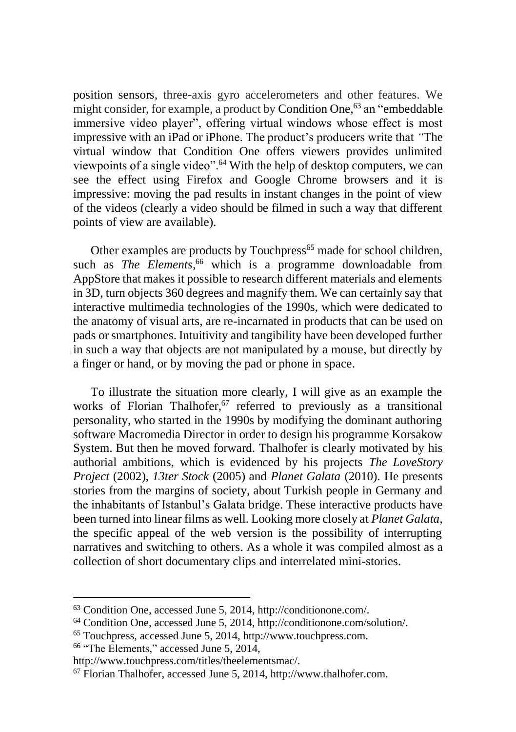position sensors, three-axis gyro accelerometers and other features. We might consider, for example, a product by Condition One,<sup>63</sup> an "embeddable" immersive video player", offering virtual windows whose effect is most impressive with an iPad or iPhone. The product's producers write that *"*The virtual window that Condition One offers viewers provides unlimited viewpoints of a single video".<sup>64</sup> With the help of desktop computers, we can see the effect using Firefox and Google Chrome browsers and it is impressive: moving the pad results in instant changes in the point of view of the videos (clearly a video should be filmed in such a way that different points of view are available).

Other examples are products by Touchpress<sup>65</sup> made for school children, such as *The Elements*, <sup>66</sup> which is a programme downloadable from AppStore that makes it possible to research different materials and elements in 3D, turn objects 360 degrees and magnify them. We can certainly say that interactive multimedia technologies of the 1990s, which were dedicated to the anatomy of visual arts, are re-incarnated in products that can be used on pads or smartphones. Intuitivity and tangibility have been developed further in such a way that objects are not manipulated by a mouse, but directly by a finger or hand, or by moving the pad or phone in space.

To illustrate the situation more clearly, I will give as an example the works of Florian Thalhofer.<sup>67</sup> referred to previously as a transitional personality, who started in the 1990s by modifying the dominant authoring software Macromedia Director in order to design his programme Korsakow System. But then he moved forward. Thalhofer is clearly motivated by his authorial ambitions, which is evidenced by his projects *The LoveStory Project* (2002), *13ter Stock* (2005) and *Planet Galata* (2010). He presents stories from the margins of society, about Turkish people in Germany and the inhabitants of Istanbul's Galata bridge. These interactive products have been turned into linear films as well. Looking more closely at *Planet Galata*, the specific appeal of the web version is the possibility of interrupting narratives and switching to others. As a whole it was compiled almost as a collection of short documentary clips and interrelated mini-stories.

<sup>63</sup> Condition One, accessed June 5, 2014, http://conditionone.com/.

<sup>64</sup> Condition One, accessed June 5, 2014, http://conditionone.com/solution/.

<sup>65</sup> Touchpress, accessed June 5, 2014, http://www.touchpress.com.

<sup>&</sup>lt;sup>66</sup> "The Elements," accessed June 5, 2014,

http://www.touchpress.com/titles/theelementsmac/.

<sup>67</sup> Florian Thalhofer, accessed June 5, 2014, http://www.thalhofer.com.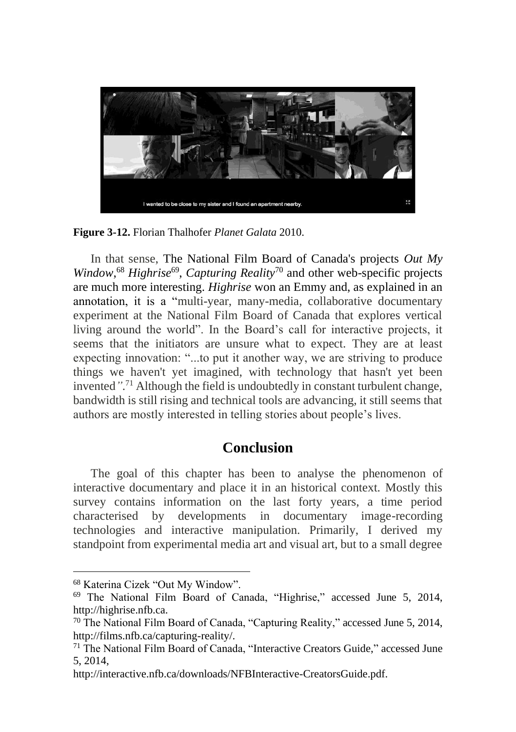

**Figure 3-12.** Florian Thalhofer *Planet Galata* 2010.

In that sense, The National Film Board of Canada's projects *Out My*  Window,<sup>68</sup> Highrise<sup>69</sup>, Capturing Reality<sup>70</sup> and other web-specific projects are much more interesting. *Highrise* won an Emmy and, as explained in an annotation, it is a "multi-year, many-media, collaborative documentary experiment at the National Film Board of Canada that explores vertical living around the world". In the Board's call for interactive projects, it seems that the initiators are unsure what to expect. They are at least expecting innovation: "...to put it another way, we are striving to produce things we haven't yet imagined, with technology that hasn't yet been invented*"*. <sup>71</sup> Although the field is undoubtedly in constant turbulent change, bandwidth is still rising and technical tools are advancing, it still seems that authors are mostly interested in telling stories about people's lives.

### **Conclusion**

The goal of this chapter has been to analyse the phenomenon of interactive documentary and place it in an historical context. Mostly this survey contains information on the last forty years, a time period characterised by developments in documentary image-recording technologies and interactive manipulation. Primarily, I derived my standpoint from experimental media art and visual art, but to a small degree

<sup>68</sup> Katerina Cizek "Out My Window".

<sup>69</sup> The National Film Board of Canada, "Highrise," accessed June 5, 2014, http://highrise.nfb.ca.

<sup>70</sup> The National Film Board of Canada, "Capturing Reality," accessed June 5, 2014, http://films.nfb.ca/capturing-reality/.

<sup>&</sup>lt;sup>71</sup> The National Film Board of Canada, "Interactive Creators Guide," accessed June 5, 2014,

http://interactive.nfb.ca/downloads/NFBInteractive-CreatorsGuide.pdf.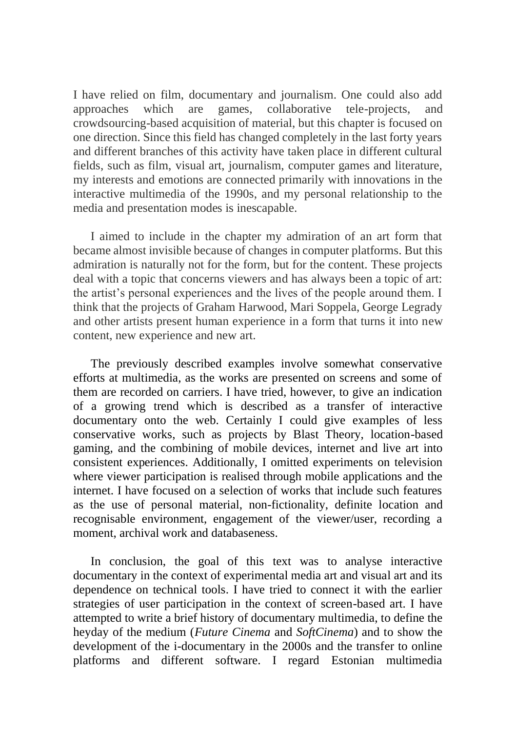I have relied on film, documentary and journalism. One could also add approaches which are games, collaborative tele-projects, and crowdsourcing-based acquisition of material, but this chapter is focused on one direction. Since this field has changed completely in the last forty years and different branches of this activity have taken place in different cultural fields, such as film, visual art, journalism, computer games and literature, my interests and emotions are connected primarily with innovations in the interactive multimedia of the 1990s, and my personal relationship to the media and presentation modes is inescapable.

I aimed to include in the chapter my admiration of an art form that became almost invisible because of changes in computer platforms. But this admiration is naturally not for the form, but for the content. These projects deal with a topic that concerns viewers and has always been a topic of art: the artist's personal experiences and the lives of the people around them. I think that the projects of Graham Harwood, Mari Soppela, George Legrady and other artists present human experience in a form that turns it into new content, new experience and new art.

The previously described examples involve somewhat conservative efforts at multimedia, as the works are presented on screens and some of them are recorded on carriers. I have tried, however, to give an indication of a growing trend which is described as a transfer of interactive documentary onto the web. Certainly I could give examples of less conservative works, such as projects by Blast Theory, location-based gaming, and the combining of mobile devices, internet and live art into consistent experiences. Additionally, I omitted experiments on television where viewer participation is realised through mobile applications and the internet. I have focused on a selection of works that include such features as the use of personal material, non-fictionality, definite location and recognisable environment, engagement of the viewer/user, recording a moment, archival work and databaseness.

In conclusion, the goal of this text was to analyse interactive documentary in the context of experimental media art and visual art and its dependence on technical tools. I have tried to connect it with the earlier strategies of user participation in the context of screen-based art. I have attempted to write a brief history of documentary multimedia, to define the heyday of the medium (*Future Cinema* and *SoftCinema*) and to show the development of the i-documentary in the 2000s and the transfer to online platforms and different software. I regard Estonian multimedia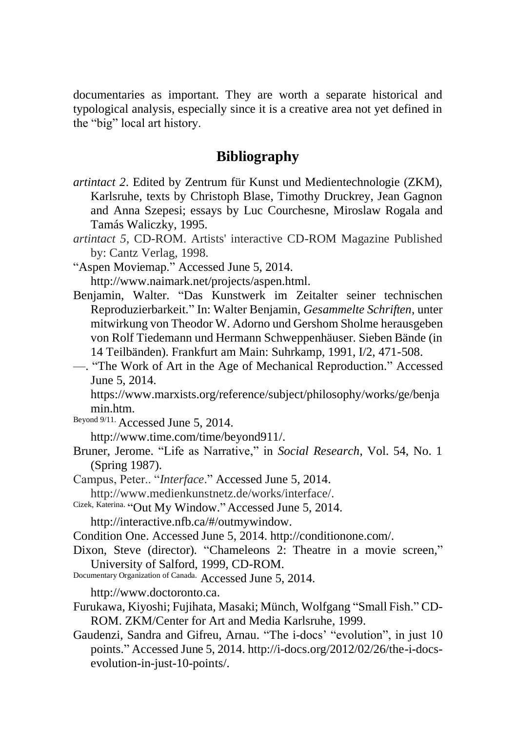documentaries as important. They are worth a separate historical and typological analysis, especially since it is a creative area not yet defined in the "big" local art history.

#### **Bibliography**

- *artintact 2*. Edited by Zentrum für Kunst und Medientechnologie (ZKM), Karlsruhe, texts by Christoph Blase, Timothy Druckrey, Jean Gagnon and Anna Szepesi; essays by Luc Courchesne, Miroslaw Rogala and Tamás Waliczky, 1995.
- *artintact 5*, CD-ROM. Artists' interactive CD-ROM Magazine Published by: Cantz Verlag, 1998.

"Aspen Moviemap." Accessed June 5, 2014. http://www.naimark.net/projects/aspen.html.

- Benjamin, Walter. "Das Kunstwerk im Zeitalter seiner technischen Reproduzierbarkeit." In: Walter Benjamin, *Gesammelte Schriften*, unter mitwirkung von Theodor W. Adorno und Gershom Sholme herausgeben von Rolf Tiedemann und Hermann Schweppenhäuser. Sieben Bände (in 14 Teilbänden). Frankfurt am Main: Suhrkamp, 1991, I/2, 471-508.
- —. "The Work of Art in the Age of Mechanical Reproduction." Accessed June 5, 2014.

https://www.marxists.org/reference/subject/philosophy/works/ge/benja min.htm.

Beyond 9/11. Accessed June 5, 2014.

http://www.time.com/time/beyond911/.

- Bruner, Jerome. "Life as Narrative," in *Social Research*, Vol. 54, No. 1 (Spring 1987).
- Campus, Peter.. "*Interface*." Accessed June 5, 2014.

- Cizek, Katerina. "Out My Window." Accessed June 5, 2014. http://interactive.nfb.ca/#/outmywindow.
- Condition One. Accessed June 5, 2014. http://conditionone.com/.
- Dixon, Steve (director). "Chameleons 2: Theatre in a movie screen," University of Salford, 1999, CD-ROM.
- Documentary Organization of Canada. Accessed June 5, 2014.

http://www.doctoronto.ca.

- Furukawa, Kiyoshi; Fujihata, Masaki; Münch, Wolfgang "Small Fish." CD-ROM. ZKM/Center for Art and Media Karlsruhe, 1999.
- Gaudenzi, Sandra and Gifreu, Arnau. "The i-docs' "evolution", in just 10 points." Accessed June 5, 2014. http://i-docs.org/2012/02/26/the-i-docsevolution-in-just-10-points/.

http://www.medienkunstnetz.de/works/interface/.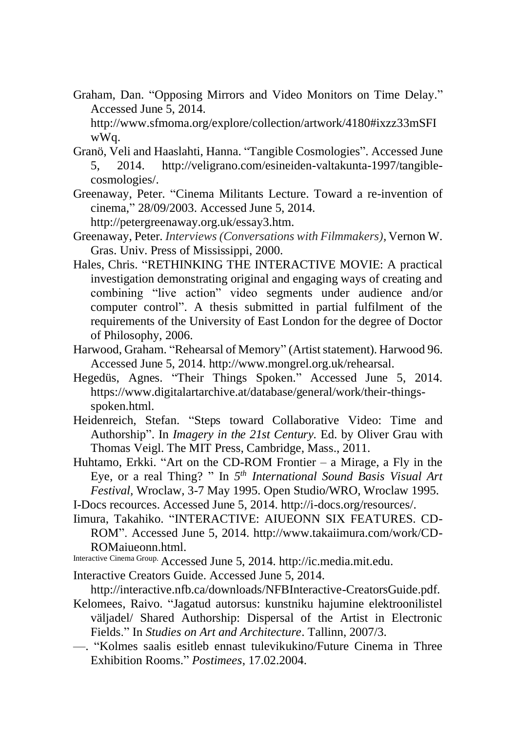Graham, Dan. "Opposing Mirrors and Video Monitors on Time Delay." Accessed June 5, 2014.

http://www.sfmoma.org/explore/collection/artwork/4180#ixzz33mSFI wWq.

- Granö, Veli and Haaslahti, Hanna. "Tangible Cosmologies". Accessed June 5, 2014. http://veligrano.com/esineiden-valtakunta-1997/tangiblecosmologies/.
- Greenaway, Peter. "Cinema Militants Lecture. Toward a re-invention of cinema," 28/09/2003. Accessed June 5, 2014.

http://petergreenaway.org.uk/essay3.htm.

- Greenaway, Peter. *Interviews (Conversations with Filmmakers),* Vernon W. Gras. Univ. Press of Mississippi, 2000.
- Hales, Chris. "RETHINKING THE INTERACTIVE MOVIE: A practical investigation demonstrating original and engaging ways of creating and combining "live action" video segments under audience and/or computer control". A thesis submitted in partial fulfilment of the requirements of the University of East London for the degree of Doctor of Philosophy, 2006.
- Harwood, Graham. "Rehearsal of Memory" (Artist statement). Harwood 96. Accessed June 5, 2014. http://www.mongrel.org.uk/rehearsal.
- Hegedüs, Agnes. "Their Things Spoken." Accessed June 5, 2014. https://www.digitalartarchive.at/database/general/work/their-thingsspoken.html.
- Heidenreich, Stefan. "Steps toward Collaborative Video: Time and Authorship". In *Imagery in the 21st Century.* Ed. by Oliver Grau with Thomas Veigl. The MIT Press, Cambridge, Mass., 2011.
- Huhtamo, Erkki. "Art on the CD-ROM Frontier a Mirage, a Fly in the Eye, or a real Thing? " In *5 th International Sound Basis Visual Art Festival,* Wroclaw, 3-7 May 1995. Open Studio/WRO, Wroclaw 1995.
- I-Docs recources. Accessed June 5, 2014. http://i-docs.org/resources/.
- Iimura, Takahiko. "INTERACTIVE: AIUEONN SIX FEATURES. CD-ROM". Accessed June 5, 2014. http://www.takaiimura.com/work/CD-ROMaiueonn.html.
- Interactive Cinema Group. Accessed June 5, 2014. http://ic.media.mit.edu.
- Interactive Creators Guide. Accessed June 5, 2014.
	- http://interactive.nfb.ca/downloads/NFBInteractive-CreatorsGuide.pdf.
- Kelomees, Raivo. "Jagatud autorsus: kunstniku hajumine elektroonilistel väljadel/ Shared Authorship: Dispersal of the Artist in Electronic Fields." In *Studies on Art and Architecture*. Tallinn, 2007/3.
- —. "Kolmes saalis esitleb ennast tulevikukino/Future Cinema in Three Exhibition Rooms." *Postimees*, 17.02.2004.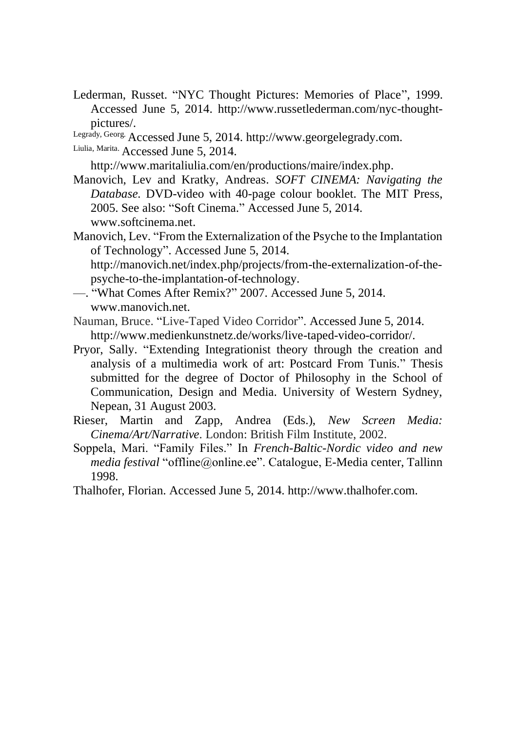- Lederman, Russet. "NYC Thought Pictures: Memories of Place", 1999. Accessed June 5, 2014. http://www.russetlederman.com/nyc-thoughtpictures/.
- Legrady, Georg. Accessed June 5, 2014. http://www.georgelegrady.com.
- Liulia, Marita. Accessed June 5, 2014.
- http://www.maritaliulia.com/en/productions/maire/index.php.
- Manovich, Lev and Kratky, Andreas. *SOFT CINEMA: Navigating the Database.* DVD-video with 40-page colour booklet. The MIT Press, 2005. See also: "Soft Cinema." Accessed June 5, 2014. www.softcinema.net
- Manovich, Lev. "From the Externalization of the Psyche to the Implantation of Technology". Accessed June 5, 2014. http://manovich.net/index.php/projects/from-the-externalization-of-thepsyche-to-the-implantation-of-technology.
- —. "What Comes After Remix?" 2007. Accessed June 5, 2014. www.manovich.net.
- Nauman, Bruce. "Live-Taped Video Corridor". Accessed June 5, 2014. http://www.medienkunstnetz.de/works/live-taped-video-corridor/.
- Pryor, Sally. "Extending Integrationist theory through the creation and analysis of a multimedia work of art: Postcard From Tunis." Thesis submitted for the degree of Doctor of Philosophy in the School of Communication, Design and Media. University of Western Sydney, Nepean, 31 August 2003.
- Rieser, Martin and Zapp, Andrea (Eds.), *New Screen Media: Cinema/Art/Narrative.* London: British Film Institute, 2002.
- Soppela, Mari. "Family Files." In *French-Baltic-Nordic video and new media festival* "offline@online.ee". Catalogue, E-Media center, Tallinn 1998.
- Thalhofer, Florian. Accessed June 5, 2014. http://www.thalhofer.com.